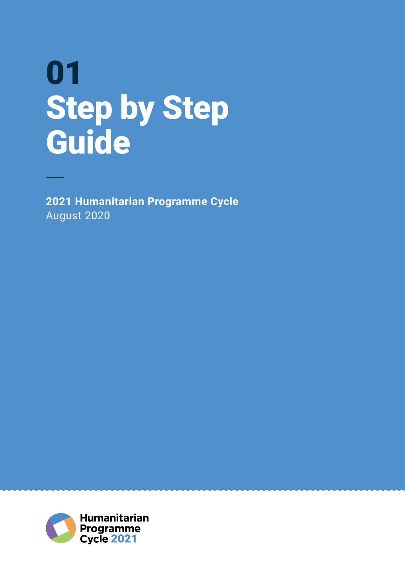# 01 Step by Step Guide

**2021 Humanitarian Programme Cycle** August 2020

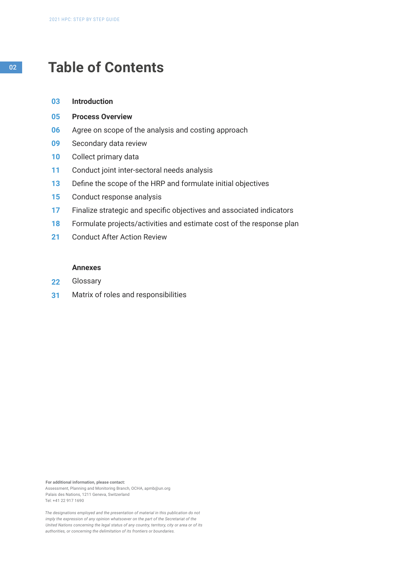# <sup>02</sup> **Table of Contents**

- **Introduction 03**
- **Process Overview 05**
- Agree on scope of the analysis and costing approach **06**
- Secondary data review **09**
- Collect primary data **10**
- Conduct joint inter-sectoral needs analysis **11**
- Define the scope of the HRP and formulate initial objectives **13**
- Conduct response analysis **15**
- Finalize strategic and specific objectives and associated indicators **17**
- Formulate projects/activities and estimate cost of the response plan **18**
- Conduct After Action Review **21**

#### **Annexes**

- **Glossary 22**
- Matrix of roles and responsibilities **31**

**For additional information, please contact:** Assessment, Planning and Monitoring Branch, OCHA, apmb@un.org Palais des Nations, 1211 Geneva, Switzerland Tel: +41 22 917 1690

*The designations employed and the presentation of material in this publication do not imply the expression of any opinion whatsoever on the part of the Secretariat of the United Nations concerning the legal status of any country, territory, city or area or of its authorities, or concerning the delimitation of its frontiers or boundaries.*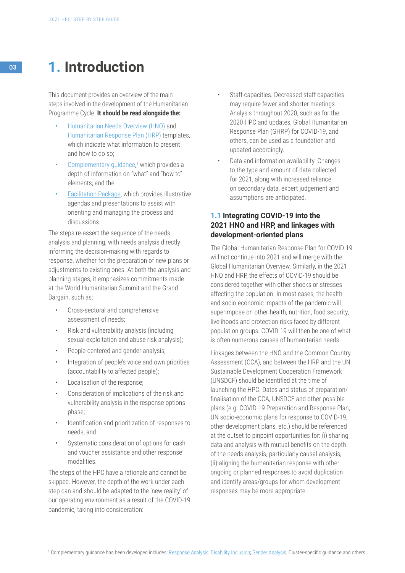# <sup>03</sup> **1. Introduction**

This document provides an overview of the main steps involved in the development of the Humanitarian Programme Cycle. **It should be read alongside the:**

- [Humanitarian Needs Overview \(HNO\)](https://assessments.hpc.tools/km/2021-humanitarian-needs-overview-annotated-template) and [Humanitarian Response Plan \(HRP\)](https://assessments.hpc.tools/km/2021-humanitarian-response-plan-annotated-template) templates, which indicate what information to present and how to do so;
- [Complementary guidance,](https://assessments.hpc.tools/knowledge-management)<sup>1</sup> which provides a depth of information on "what" and "how to" elements; and the
- [Facilitation Package](https://assessments.hpc.tools/content/hpc-2021-facilitation-package ), which provides illustrative agendas and presentations to assist with orienting and managing the process and discussions.

The steps re-assert the sequence of the needs analysis and planning, with needs analysis directly informing the decision-making with regards to response, whether for the preparation of new plans or adjustments to existing ones. At both the analysis and planning stages, it emphasizes commitments made at the World Humanitarian Summit and the Grand Bargain, such as:

- Cross-sectoral and comprehensive assessment of needs;
- Risk and vulnerability analysis (including sexual exploitation and abuse risk analysis);
- People-centered and gender analysis;
- Integration of people's voice and own priorities (accountability to affected people);
- Localisation of the response;
- Consideration of implications of the risk and vulnerability analysis in the response options phase;
- Identification and prioritization of responses to needs; and
- Systematic consideration of options for cash and voucher assistance and other response modalities.

The steps of the HPC have a rationale and cannot be skipped. However, the depth of the work under each step can and should be adapted to the 'new reality' of our operating environment as a result of the COVID-19 pandemic, taking into consideration:

- Staff capacities. Decreased staff capacities may require fewer and shorter meetings. Analysis throughout 2020, such as for the 2020 HPC and updates, Global Humanitarian Response Plan (GHRP) for COVID-19, and others, can be used as a foundation and updated accordingly.
- Data and information availability. Changes to the type and amount of data collected for 2021, along with increased reliance on secondary data, expert judgement and assumptions are anticipated.

# **1.1 Integrating COVID-19 into the 2021 HNO and HRP, and linkages with development-oriented plans**

The Global Humanitarian Response Plan for COVID-19 will not continue into 2021 and will merge with the Global Humanitarian Overview. Similarly, in the 2021 HNO and HRP, the effects of COVID-19 should be considered together with other shocks or stresses affecting the population. In most cases, the health and socio-economic impacts of the pandemic will superimpose on other health, nutrition, food security, livelihoods and protection risks faced by different population groups. COVID-19 will then be one of what is often numerous causes of humanitarian needs.

Linkages between the HNO and the Common Country Assessment (CCA), and between the HRP and the UN Sustainable Development Cooperation Framework (UNSDCF) should be identified at the time of launching the HPC. Dates and status of preparation/ finalisation of the CCA, UNSDCF and other possible plans (e.g. COVID-19 Preparation and Response Plan, UN socio-economic plans for response to COVID-19, other development plans, etc.) should be referenced at the outset to pinpoint opportunities for: (i) sharing data and analysis with mutual benefits on the depth of the needs analysis, particularly causal analysis, (ii) aligning the humanitarian response with other ongoing or planned responses to avoid duplication and identify areas/groups for whom development responses may be more appropriate.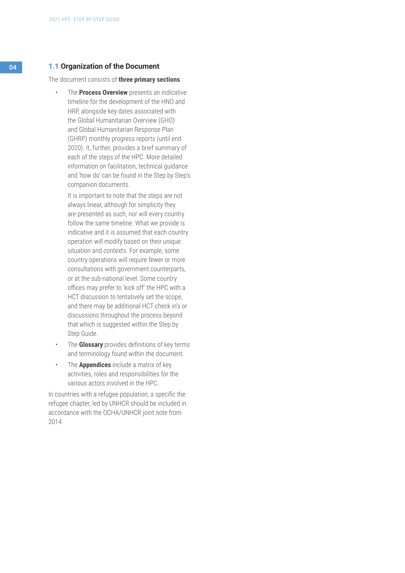#### 04 **1.1 Organization of the Document**

The document consists of **three primary sections**.

• The **Process Overview** presents an indicative timeline for the development of the HNO and HRP, alongside key dates associated with the Global Humanitarian Overview (GHO) and Global Humanitarian Response Plan (GHRP) monthly progress reports (until end 2020). It, further, provides a brief summary of each of the steps of the HPC. More detailed information on facilitation, technical guidance and 'how do' can be found in the Step by Step's companion documents.

It is important to note that the steps are not always linear, although for simplicity they are presented as such, nor will every country follow the same timeline. What we provide is indicative and it is assumed that each country operation will modify based on their unique situation and contexts. For example, some country operations will require fewer or more consultations with government counterparts, or at the sub-national level. Some country offices may prefer to 'kick off' the HPC with a HCT discussion to tentatively set the scope, and there may be additional HCT check in's or discussions throughout the process beyond that which is suggested within the Step by Step Guide.

- The **Glossary** provides definitions of key terms and terminology found within the document.
- The **Appendices** include a matrix of key activities, roles and responsibilities for the various actors involved in the HPC.

In countries with a refugee population, a specific the refugee chapter, led by UNHCR should be included in accordance with the OCHA/UNHCR joint note from 2014.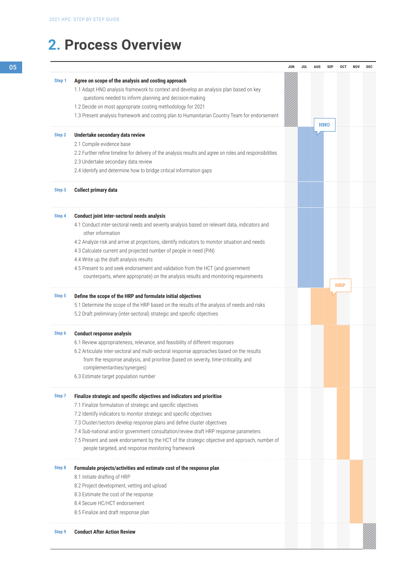|        |                                                                                                                                       | JUN | JUL | <b>AUG</b> | <b>SEP</b> | <b>OCT</b> | <b>NOV</b> | <b>DEC</b> |
|--------|---------------------------------------------------------------------------------------------------------------------------------------|-----|-----|------------|------------|------------|------------|------------|
| Step 1 | Agree on scope of the analysis and costing approach                                                                                   |     |     |            |            |            |            |            |
|        | 1.1 Adapt HNO analysis framework to context and develop an analysis plan based on key                                                 |     |     |            |            |            |            |            |
|        | questions needed to inform planning and decision-making                                                                               |     |     |            |            |            |            |            |
|        | 1.2 Decide on most appropriate costing methodology for 2021                                                                           |     |     |            |            |            |            |            |
|        | 1.3 Present analysis framework and costing plan to Humanitarian Country Team for endorsement                                          |     |     |            |            |            |            |            |
|        |                                                                                                                                       |     |     |            | <b>HNO</b> |            |            |            |
| Step 2 | Undertake secondary data review                                                                                                       |     |     |            |            |            |            |            |
|        | 2.1 Compile evidence base<br>2.2 Further refine timeline for delivery of the analysis results and agree on roles and responsibilities |     |     |            |            |            |            |            |
|        | 2.3 Undertake secondary data review                                                                                                   |     |     |            |            |            |            |            |
|        | 2.4 Identify and determine how to bridge critical information gaps                                                                    |     |     |            |            |            |            |            |
|        |                                                                                                                                       |     |     |            |            |            |            |            |
| Step 3 | <b>Collect primary data</b>                                                                                                           |     |     |            |            |            |            |            |
| Step 4 | <b>Conduct joint inter-sectoral needs analysis</b>                                                                                    |     |     |            |            |            |            |            |
|        | 4.1 Conduct inter-sectoral needs and severity analysis based on relevant data, indicators and                                         |     |     |            |            |            |            |            |
|        | other information                                                                                                                     |     |     |            |            |            |            |            |
|        | 4.2 Analyze risk and arrive at projections, identify indicators to monitor situation and needs                                        |     |     |            |            |            |            |            |
|        | 4.3 Calculate current and projected number of people in need (PiN)                                                                    |     |     |            |            |            |            |            |
|        | 4.4 Write up the draft analysis results                                                                                               |     |     |            |            |            |            |            |
|        | 4.5 Present to and seek endorsement and validation from the HCT (and government                                                       |     |     |            |            |            |            |            |
|        | counterparts, where appropriate) on the analysis results and monitoring requirements                                                  |     |     |            |            | <b>HRP</b> |            |            |
| Step 5 | Define the scope of the HRP and formulate initial objectives                                                                          |     |     |            |            |            |            |            |
|        | 5.1 Determine the scope of the HRP based on the results of the analysis of needs and risks                                            |     |     |            |            |            |            |            |
|        | 5.2 Draft preliminary (inter-sectoral) strategic and specific objectives                                                              |     |     |            |            |            |            |            |
| Step 6 | <b>Conduct response analysis</b>                                                                                                      |     |     |            |            |            |            |            |
|        | 6.1 Review appropriateness, relevance, and feasibility of different responses                                                         |     |     |            |            |            |            |            |
|        | 6.2 Articulate inter-sectoral and multi-sectoral response approaches based on the results                                             |     |     |            |            |            |            |            |
|        | from the response analysis, and prioritise (based on severity, time-criticality, and                                                  |     |     |            |            |            |            |            |
|        | complementarities/synergies)                                                                                                          |     |     |            |            |            |            |            |
|        | 6.3 Estimate target population number                                                                                                 |     |     |            |            |            |            |            |
| Step 7 | Finalize strategic and specific objectives and indicators and prioritise                                                              |     |     |            |            |            |            |            |
|        | 7.1 Finalize formulation of strategic and specific objectives                                                                         |     |     |            |            |            |            |            |
|        | 7.2 Identify indicators to monitor strategic and specific objectives                                                                  |     |     |            |            |            |            |            |
|        | 7.3 Cluster/sectors develop response plans and define cluster objectives                                                              |     |     |            |            |            |            |            |
|        | 7.4 Sub-national and/or government consultation/review draft HRP response parameters                                                  |     |     |            |            |            |            |            |
|        | 7.5 Present and seek endorsement by the HCT of the strategic objective and approach, number of                                        |     |     |            |            |            |            |            |
|        | people targeted, and response monitoring framework                                                                                    |     |     |            |            |            |            |            |
| Step 8 | Formulate projects/activities and estimate cost of the response plan                                                                  |     |     |            |            |            |            |            |
|        | 8.1 Initiate drafting of HRP                                                                                                          |     |     |            |            |            |            |            |
|        | 8.2 Project development, vetting and upload                                                                                           |     |     |            |            |            |            |            |
|        | 8.3 Estimate the cost of the response                                                                                                 |     |     |            |            |            |            |            |
|        | 8.4 Secure HC/HCT endorsement                                                                                                         |     |     |            |            |            |            |            |
|        | 8.5 Finalize and draft response plan                                                                                                  |     |     |            |            |            |            |            |
| Step 9 | <b>Conduct After Action Review</b>                                                                                                    |     |     |            |            |            |            |            |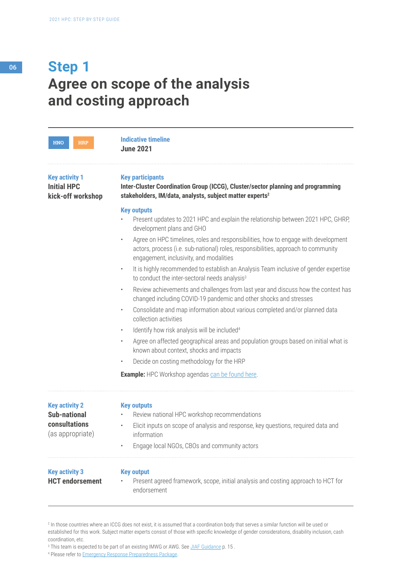# **Agree on scope of the analysis and costing approach Step 1**

| <b>HNO</b><br><b>HRP</b>                                         | <b>Indicative timeline</b><br><b>June 2021</b>                                                                                                                                                                                   |
|------------------------------------------------------------------|----------------------------------------------------------------------------------------------------------------------------------------------------------------------------------------------------------------------------------|
| <b>Key activity 1</b><br><b>Initial HPC</b><br>kick-off workshop | <b>Key participants</b><br>Inter-Cluster Coordination Group (ICCG), Cluster/sector planning and programming<br>stakeholders, IM/data, analysts, subject matter experts <sup>2</sup>                                              |
|                                                                  | <b>Key outputs</b><br>Present updates to 2021 HPC and explain the relationship between 2021 HPC, GHRP,<br>development plans and GHO                                                                                              |
|                                                                  | Agree on HPC timelines, roles and responsibilities, how to engage with development<br>$\bullet$<br>actors, process (i.e. sub-national) roles, responsibilities, approach to community<br>engagement, inclusivity, and modalities |
|                                                                  | It is highly recommended to establish an Analysis Team inclusive of gender expertise<br>$\bullet$<br>to conduct the inter-sectoral needs analysis <sup>3</sup>                                                                   |
|                                                                  | Review achievements and challenges from last year and discuss how the context has<br>$\bullet$<br>changed including COVID-19 pandemic and other shocks and stresses                                                              |
|                                                                  | Consolidate and map information about various completed and/or planned data<br>$\bullet$<br>collection activities                                                                                                                |
|                                                                  | Identify how risk analysis will be included <sup>4</sup><br>$\bullet$                                                                                                                                                            |
|                                                                  | Agree on affected geographical areas and population groups based on initial what is<br>$\bullet$<br>known about context, shocks and impacts                                                                                      |
|                                                                  | Decide on costing methodology for the HRP<br>$\bullet$                                                                                                                                                                           |
|                                                                  | <b>Example:</b> HPC Workshop agendas can be found here.                                                                                                                                                                          |
| <b>Key activity 2</b>                                            | <b>Key outputs</b>                                                                                                                                                                                                               |
| <b>Sub-national</b>                                              | Review national HPC workshop recommendations                                                                                                                                                                                     |
| consultations<br>(as appropriate)                                | Elicit inputs on scope of analysis and response, key questions, required data and<br>$\bullet$<br>information                                                                                                                    |
|                                                                  | Engage local NGOs, CBOs and community actors                                                                                                                                                                                     |
| <b>Key activity 3</b><br><b>HCT</b> endorsement                  | <b>Key output</b><br>Present agreed framework, scope, initial analysis and costing approach to HCT for<br>endorsement                                                                                                            |

<sup>2</sup> In those countries where an ICCG does not exist, it is assumed that a coordination body that serves a similar function will be used or established for this work. Subject matter experts consist of those with specific knowledge of gender considerations, disability inclusion, cash coordination, etc.

<sup>&</sup>lt;sup>3</sup> This team is expected to be part of an existing IMWG or AWG. See *JIAF Guidance* p. 15.

<sup>&</sup>lt;sup>4</sup> Please refer to **Emergency Response Preparedness Package**.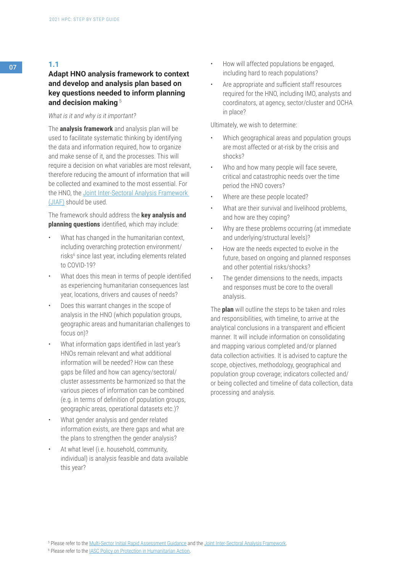**1.1** 

# **Adapt HNO analysis framework to context and develop and analysis plan based on key questions needed to inform planning and decision making** <sup>5</sup>

#### *What is it and why is it important?*

The **analysis framework** and analysis plan will be used to facilitate systematic thinking by identifying the data and information required, how to organize and make sense of it, and the processes. This will require a decision on what variables are most relevant, therefore reducing the amount of information that will be collected and examined to the most essential. For the HNO, the [Joint Inter-Sectoral Analysis Framework](https://assessments.hpc.tools/km/2021-jiaf-guidance)  [\(JIAF\)](https://assessments.hpc.tools/km/2021-jiaf-guidance) should be used.

The framework should address the **key analysis and planning questions** identified, which may include:

- What has changed in the humanitarian context, including overarching protection environment/ risks<sup>6</sup> since last year, including elements related to COVID-19?
- What does this mean in terms of people identified as experiencing humanitarian consequences last year, locations, drivers and causes of needs?
- Does this warrant changes in the scope of analysis in the HNO (which population groups, geographic areas and humanitarian challenges to focus on)?
- What information gaps identified in last year's HNOs remain relevant and what additional information will be needed? How can these gaps be filled and how can agency/sectoral/ cluster assessments be harmonized so that the various pieces of information can be combined (e.g. in terms of definition of population groups, geographic areas, operational datasets etc.)?
- What gender analysis and gender related information exists, are there gaps and what are the plans to strengthen the gender analysis?
- At what level (i.e. household, community, individual) is analysis feasible and data available this year?
- How will affected populations be engaged, including hard to reach populations?
- Are appropriate and sufficient staff resources required for the HNO, including IMO, analysts and coordinators, at agency, sector/cluster and OCHA in place?

Ultimately, we wish to determine:

- Which geographical areas and population groups are most affected or at-risk by the crisis and shocks?
- Who and how many people will face severe, critical and catastrophic needs over the time period the HNO covers?
- Where are these people located?
- What are their survival and livelihood problems, and how are they coping?
- Why are these problems occurring (at immediate and underlying/structural levels)?
- How are the needs expected to evolve in the future, based on ongoing and planned responses and other potential risks/shocks?
- The gender dimensions to the needs, impacts and responses must be core to the overall analysis.

The **plan** will outline the steps to be taken and roles and responsibilities, with timeline, to arrive at the analytical conclusions in a transparent and efficient manner. It will include information on consolidating and mapping various completed and/or planned data collection activities. It is advised to capture the scope, objectives, methodology, geographical and population group coverage; indicators collected and/ or being collected and timeline of data collection, data processing and analysis.

<sup>6</sup> Please refer to the **IASC Policy on Protection in Humanitarian Action**.

<sup>&</sup>lt;sup>5</sup> Please refer to the <u>Multi-Sector Initial Rapid Assessment Guidance</u> and the <u>Joint Inter-Sectoral Analysis Framework</u>.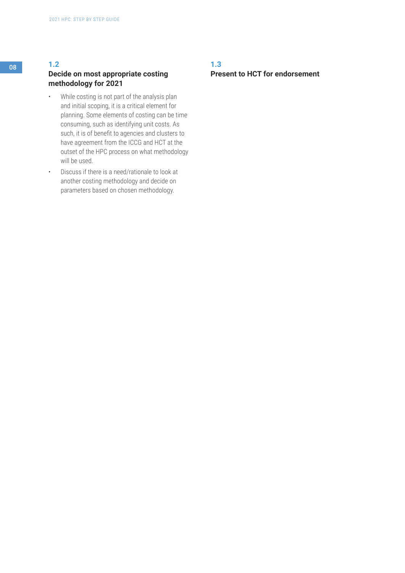# <sup>08</sup> **1.2**

# **Decide on most appropriate costing methodology for 2021**

- While costing is not part of the analysis plan and initial scoping, it is a critical element for planning. Some elements of costing can be time consuming, such as identifying unit costs. As such, it is of benefit to agencies and clusters to have agreement from the ICCG and HCT at the outset of the HPC process on what methodology will be used.
- Discuss if there is a need/rationale to look at another costing methodology and decide on parameters based on chosen methodology.

# **1.3 Present to HCT for endorsement**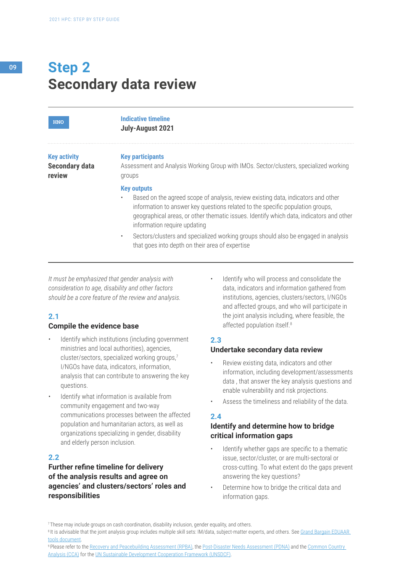# **Secondary data review Step 2**

| <b>HNO</b>                                             | <b>Indicative timeline</b><br>July-August 2021                                                                                                                                                                                                                                                                                    |
|--------------------------------------------------------|-----------------------------------------------------------------------------------------------------------------------------------------------------------------------------------------------------------------------------------------------------------------------------------------------------------------------------------|
| <b>Key activity</b><br><b>Secondary data</b><br>review | <b>Key participants</b><br>Assessment and Analysis Working Group with IMOs. Sector/clusters, specialized working<br>groups                                                                                                                                                                                                        |
|                                                        | <b>Key outputs</b><br>Based on the agreed scope of analysis, review existing data, indicators and other<br>$\bullet$<br>information to answer key questions related to the specific population groups,<br>geographical areas, or other thematic issues. Identify which data, indicators and other<br>information require updating |
|                                                        | Sectors/clusters and specialized working groups should also be engaged in analysis<br>$\bullet$<br>that goes into depth on their area of expertise                                                                                                                                                                                |

*It must be emphasized that gender analysis with consideration to age, disability and other factors should be a core feature of the review and analysis.*

# **2.1**

#### **Compile the evidence base**

- Identify which institutions (including government ministries and local authorities), agencies, cluster/sectors, specialized working groups,7 I/NGOs have data, indicators, information, analysis that can contribute to answering the key questions.
- Identify what information is available from community engagement and two-way communications processes between the affected population and humanitarian actors, as well as organizations specializing in gender, disability and elderly person inclusion.

# **2.2**

# **Further refine timeline for delivery of the analysis results and agree on agencies' and clusters/sectors' roles and responsibilities**

Identify who will process and consolidate the data, indicators and information gathered from institutions, agencies, clusters/sectors, I/NGOs and affected groups, and who will participate in the joint analysis including, where feasible, the affected population itself.<sup>8</sup>

# **2.3**

### **Undertake secondary data review**

- Review existing data, indicators and other information, including development/assessments data , that answer the key analysis questions and enable vulnerability and risk projections.
- Assess the timeliness and reliability of the data.

# **2.4**

# **Identify and determine how to bridge critical information gaps**

- Identify whether gaps are specific to a thematic issue, sector/cluster, or are multi-sectoral or cross-cutting. To what extent do the gaps prevent answering the key questions?
- Determine how to bridge the critical data and information gaps.

9 Please refer to the [Recovery and Peacebuilding Assessment \(RPBA\),](https://ec.europa.eu/fpi/sites/fpi/files/rpba/rpba_guidance.pdf) the [Post-Disaster Needs Assessment \(PDNA\)](https://www.undp.org/content/undp/en/home/2030-agenda-for-sustainable-development/planet/disaster-risk-reduction-and-recovery/post-disaster-needs-assessments.html) and the Common Country [Analysis \(CCA\)](https://unsdg.un.org/resources/common-country-analysis-undaf-companion-guidance) for the [UN Sustainable Development Cooperation Framework \(UNSDCF\)](https://unsdg.un.org/resources/united-nations-sustainable-development-cooperation-framework-guidance).

<sup>&</sup>lt;sup>7</sup> These may include groups on cash coordination, disability inclusion, gender equality, and others.

<sup>&</sup>lt;sup>8</sup> It is advisable that the joint analysis group includes multiple skill sets: IM/data, subject-matter experts, and others. See Grand Bargain EDUAAR [tools document.](https://interagencystandingcommittee.org/system/files/iasc_policy_on_protection_in_humanitarian_action.pdf)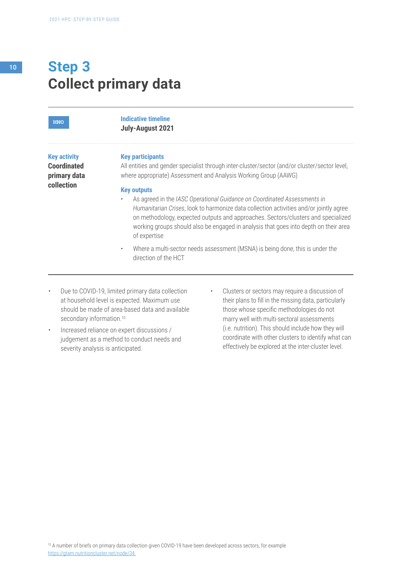# **Collect primary data Step 3**

| <b>HNO</b>                                                              | <b>Indicative timeline</b><br>July-August 2021                                                                                                                                                                                                                                                                                                                                                                                                                                                                                                                                                                                                                                                             |
|-------------------------------------------------------------------------|------------------------------------------------------------------------------------------------------------------------------------------------------------------------------------------------------------------------------------------------------------------------------------------------------------------------------------------------------------------------------------------------------------------------------------------------------------------------------------------------------------------------------------------------------------------------------------------------------------------------------------------------------------------------------------------------------------|
| <b>Key activity</b><br><b>Coordinated</b><br>primary data<br>collection | <b>Key participants</b><br>All entities and gender specialist through inter-cluster/sector (and/or cluster/sector level,<br>where appropriate) Assessment and Analysis Working Group (AAWG)<br><b>Key outputs</b><br>As agreed in the IASC Operational Guidance on Coordinated Assessments in<br>Humanitarian Crises, look to harmonize data collection activities and/or jointly agree<br>on methodology, expected outputs and approaches. Sectors/clusters and specialized<br>working groups should also be engaged in analysis that goes into depth on their area<br>of expertise<br>Where a multi-sector needs assessment (MSNA) is being done, this is under the<br>$\bullet$<br>direction of the HCT |

- Due to COVID-19, limited primary data collection at household level is expected. Maximum use should be made of area-based data and available secondary information.<sup>10</sup>
- Increased reliance on expert discussions / judgement as a method to conduct needs and severity analysis is anticipated.
- Clusters or sectors may require a discussion of their plans to fill in the missing data, particularly those whose specific methodologies do not marry well with multi-sectoral assessments (i.e. nutrition). This should include how they will coordinate with other clusters to identify what can effectively be explored at the inter-cluster level.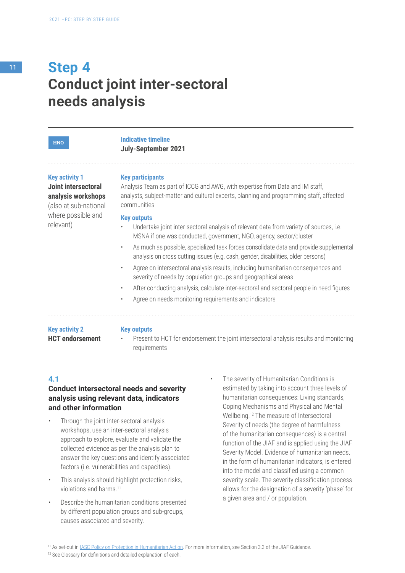| <b>HNO</b>                                                                                  | <b>Indicative timeline</b><br><b>July-September 2021</b>                                                                                                                                                                                                                                                                                                                                                                                                                                                                                                                                                                                                                                                          |
|---------------------------------------------------------------------------------------------|-------------------------------------------------------------------------------------------------------------------------------------------------------------------------------------------------------------------------------------------------------------------------------------------------------------------------------------------------------------------------------------------------------------------------------------------------------------------------------------------------------------------------------------------------------------------------------------------------------------------------------------------------------------------------------------------------------------------|
| <b>Key activity 1</b><br>Joint intersectoral<br>analysis workshops<br>(also at sub-national | <b>Key participants</b><br>Analysis Team as part of ICCG and AWG, with expertise from Data and IM staff,<br>analysts, subject-matter and cultural experts, planning and programming staff, affected<br>communities                                                                                                                                                                                                                                                                                                                                                                                                                                                                                                |
| where possible and<br>relevant)                                                             | <b>Key outputs</b><br>Undertake joint inter-sectoral analysis of relevant data from variety of sources, i.e.<br>MSNA if one was conducted, government, NGO, agency, sector/cluster<br>As much as possible, specialized task forces consolidate data and provide supplemental<br>$\bullet$<br>analysis on cross cutting issues (e.g. cash, gender, disabilities, older persons)<br>Agree on intersectoral analysis results, including humanitarian consequences and<br>$\bullet$<br>severity of needs by population groups and geographical areas<br>After conducting analysis, calculate inter-sectoral and sectoral people in need figures<br>$\bullet$<br>Agree on needs monitoring requirements and indicators |
| <b>Key activity 2</b><br><b>HCT</b> endorsement                                             | <b>Key outputs</b><br>Present to HCT for endorsement the joint intersectoral analysis results and monitoring<br>$\bullet$<br>requirements                                                                                                                                                                                                                                                                                                                                                                                                                                                                                                                                                                         |

# **4.1**

# **Conduct intersectoral needs and severity analysis using relevant data, indicators and other information**

- Through the joint inter-sectoral analysis workshops, use an inter-sectoral analysis approach to explore, evaluate and validate the collected evidence as per the analysis plan to answer the key questions and identify associated factors (i.e. vulnerabilities and capacities).
- This analysis should highlight protection risks, violations and harms.11
- Describe the humanitarian conditions presented by different population groups and sub-groups, causes associated and severity.
- The severity of Humanitarian Conditions is estimated by taking into account three levels of humanitarian consequences: Living standards, Coping Mechanisms and Physical and Mental Wellbeing.12 The measure of Intersectoral Severity of needs (the degree of harmfulness of the humanitarian consequences) is a central function of the JIAF and is applied using the JIAF Severity Model. Evidence of humanitarian needs, in the form of humanitarian indicators, is entered into the model and classified using a common severity scale. The severity classification process allows for the designation of a severity 'phase' for a given area and / or population.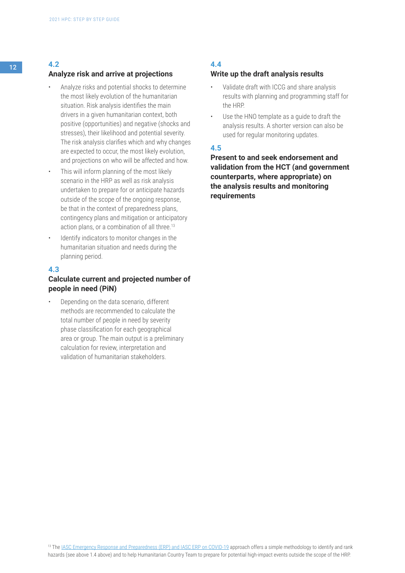# <sup>12</sup> **4.2**

#### **Analyze risk and arrive at projections**

- Analyze risks and potential shocks to determine the most likely evolution of the humanitarian situation. Risk analysis identifies the main drivers in a given humanitarian context, both positive (opportunities) and negative (shocks and stresses), their likelihood and potential severity. The risk analysis clarifies which and why changes are expected to occur, the most likely evolution, and projections on who will be affected and how.
- This will inform planning of the most likely scenario in the HRP as well as risk analysis undertaken to prepare for or anticipate hazards outside of the scope of the ongoing response, be that in the context of preparedness plans, contingency plans and mitigation or anticipatory action plans, or a combination of all three.<sup>13</sup>
- Identify indicators to monitor changes in the humanitarian situation and needs during the planning period.

#### **4.3**

# **Calculate current and projected number of people in need (PiN)**

• Depending on the data scenario, different methods are recommended to calculate the total number of people in need by severity phase classification for each geographical area or group. The main output is a preliminary calculation for review, interpretation and validation of humanitarian stakeholders.

# **4.4**

#### **Write up the draft analysis results**

- Validate draft with ICCG and share analysis results with planning and programming staff for the HRP.
- Use the HNO template as a quide to draft the analysis results. A shorter version can also be used for regular monitoring updates.

# **4.5**

**Present to and seek endorsement and validation from the HCT (and government counterparts, where appropriate) on the analysis results and monitoring requirements**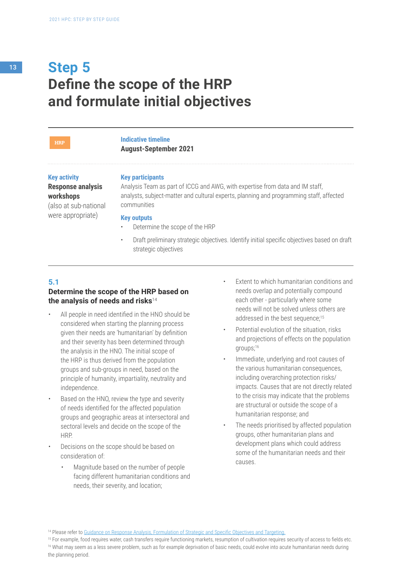**HRP**

#### **Indicative timeline August-September 2021**

**Key participants**

#### **Key activity Response analysis workshops**

(also at sub-national were appropriate)

Analysis Team as part of ICCG and AWG, with expertise from data and IM staff, analysts, subject-matter and cultural experts, planning and programming staff, affected communities

#### **Key outputs**

- Determine the scope of the HRP
- Draft preliminary strategic objectives. Identify initial specific objectives based on draft strategic objectives

### **5.1**

### **Determine the scope of the HRP based on the analysis of needs and risks**<sup>14</sup>

- All people in need identified in the HNO should be considered when starting the planning process given their needs are 'humanitarian' by definition and their severity has been determined through the analysis in the HNO. The initial scope of the HRP is thus derived from the population groups and sub-groups in need, based on the principle of humanity, impartiality, neutrality and independence.
- Based on the HNO, review the type and severity of needs identified for the affected population groups and geographic areas at intersectoral and sectoral levels and decide on the scope of the HRP.
- Decisions on the scope should be based on consideration of:
	- Magnitude based on the number of people facing different humanitarian conditions and needs, their severity, and location;
- Extent to which humanitarian conditions and needs overlap and potentially compound each other - particularly where some needs will not be solved unless others are addressed in the best sequence;<sup>15</sup>
- Potential evolution of the situation, risks and projections of effects on the population groups;16
- Immediate, underlying and root causes of the various humanitarian consequences, including overarching protection risks/ impacts. Causes that are not directly related to the crisis may indicate that the problems are structural or outside the scope of a humanitarian response; and
- The needs prioritised by affected population groups, other humanitarian plans and development plans which could address some of the humanitarian needs and their causes.

<sup>14</sup> Please refer to [Guidance on Response Analysis, Formulation of Strategic and Specific Objectives and Targeting.](https://assessments.hpc.tools/km/response-analysis-and-prioritization-guidance-2021)

<sup>15</sup> For example, food requires water, cash transfers require functioning markets, resumption of cultivation requires security of access to fields etc. 16 What may seem as a less severe problem, such as for example deprivation of basic needs, could evolve into acute humanitarian needs during the planning period.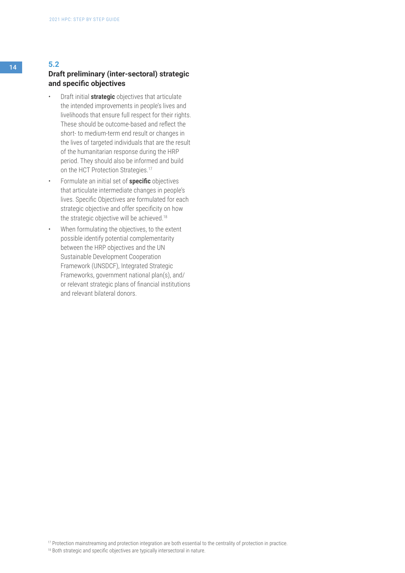# **Draft preliminary (inter-sectoral) strategic and specific objectives**

- Draft initial **strategic** objectives that articulate the intended improvements in people's lives and livelihoods that ensure full respect for their rights. These should be outcome-based and reflect the short- to medium-term end result or changes in the lives of targeted individuals that are the result of the humanitarian response during the HRP period. They should also be informed and build on the HCT Protection Strategies.<sup>17</sup>
- Formulate an initial set of **specific** objectives that articulate intermediate changes in people's lives. Specific Objectives are formulated for each strategic objective and offer specificity on how the strategic objective will be achieved.<sup>18</sup>
- When formulating the objectives, to the extent possible identify potential complementarity between the HRP objectives and the UN Sustainable Development Cooperation Framework (UNSDCF), Integrated Strategic Frameworks, government national plan(s), and/ or relevant strategic plans of financial institutions and relevant bilateral donors.

<sup>17</sup> Protection mainstreaming and protection integration are both essential to the centrality of protection in practice.

<sup>18</sup> Both strategic and specific objectives are typically intersectoral in nature.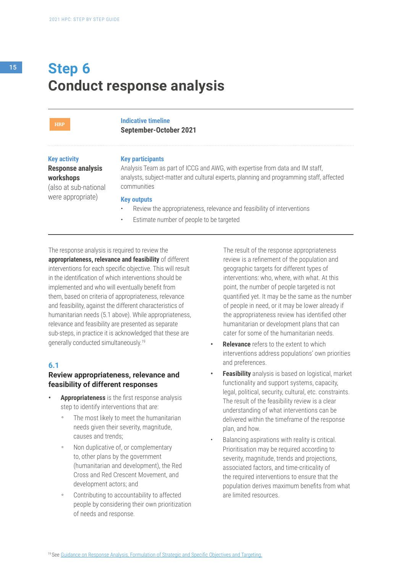# **Conduct response analysis Step 6**

#### **HRP**

**Indicative timeline September-October 2021**

#### **Key activity**

**Response analysis workshops** 

(also at sub-national were appropriate)

#### **Key participants**

Analysis Team as part of ICCG and AWG, with expertise from data and IM staff, analysts, subject-matter and cultural experts, planning and programming staff, affected communities

#### **Key outputs**

- Review the appropriateness, relevance and feasibility of interventions
- Estimate number of people to be targeted

The response analysis is required to review the

**appropriateness, relevance and feasibility** of different interventions for each specific objective. This will result in the identification of which interventions should be implemented and who will eventually benefit from them, based on criteria of appropriateness, relevance and feasibility, against the different characteristics of humanitarian needs (5.1 above). While appropriateness, relevance and feasibility are presented as separate sub-steps, in practice it is acknowledged that these are generally conducted simultaneously.19

#### **6.1**

#### **Review appropriateness, relevance and feasibility of different responses**

- **• Appropriateness** is the first response analysis step to identify interventions that are:
	- The most likely to meet the humanitarian needs given their severity, magnitude, causes and trends;
	- Non duplicative of, or complementary to, other plans by the government (humanitarian and development), the Red Cross and Red Crescent Movement, and development actors; and
	- Contributing to accountability to affected people by considering their own prioritization of needs and response.

The result of the response appropriateness review is a refinement of the population and geographic targets for different types of interventions: who, where, with what. At this point, the number of people targeted is not quantified yet. It may be the same as the number of people in need, or it may be lower already if the appropriateness review has identified other humanitarian or development plans that can cater for some of the humanitarian needs.

- **• Relevance** refers to the extent to which interventions address populations' own priorities and preferences.
- **• Feasibility** analysis is based on logistical, market functionality and support systems, capacity, legal, political, security, cultural, etc. constraints. The result of the feasibility review is a clear understanding of what interventions can be delivered within the timeframe of the response plan, and how.
- Balancing aspirations with reality is critical. Prioritisation may be required according to severity, magnitude, trends and projections, associated factors, and time-criticality of the required interventions to ensure that the population derives maximum benefits from what are limited resources.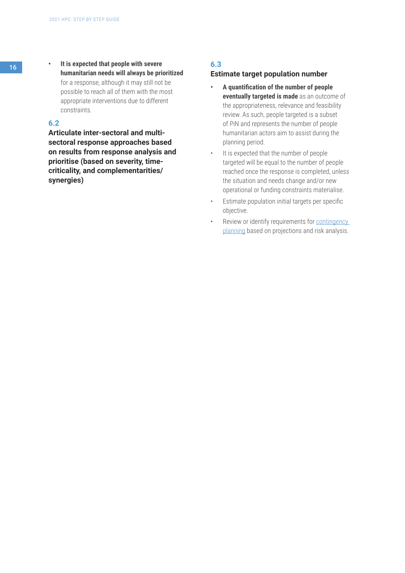### **6.2**

**Articulate inter-sectoral and multisectoral response approaches based on results from response analysis and prioritise (based on severity, timecriticality, and complementarities/ synergies)**

# **6.3**

#### **Estimate target population number**

- **• A quantification of the number of people eventually targeted is made** as an outcome of the appropriateness, relevance and feasibility review. As such, people targeted is a subset of PiN and represents the number of people humanitarian actors aim to assist during the planning period.
- It is expected that the number of people targeted will be equal to the number of people reached once the response is completed, unless the situation and needs change and/or new operational or funding constraints materialise.
- Estimate population initial targets per specific objective.
- Review or identify requirements for contingency [planning](https://assessments.hpc.tools/km/response-analysis-and-prioritization-guidance-2021) based on projections and risk analysis.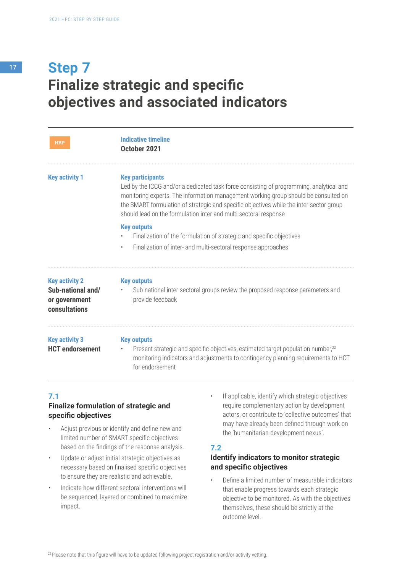# **Finalize strategic and specific objectives and associated indicators Step 7**

| HRP                                                                                 | <b>Indicative timeline</b><br>October 2021                                                                                                                                                                                                                                                                                                                               |
|-------------------------------------------------------------------------------------|--------------------------------------------------------------------------------------------------------------------------------------------------------------------------------------------------------------------------------------------------------------------------------------------------------------------------------------------------------------------------|
| <b>Key activity 1</b>                                                               | <b>Key participants</b><br>Led by the ICCG and/or a dedicated task force consisting of programming, analytical and<br>monitoring experts. The information management working group should be consulted on<br>the SMART formulation of strategic and specific objectives while the inter-sector group<br>should lead on the formulation inter and multi-sectoral response |
|                                                                                     | <b>Key outputs</b><br>Finalization of the formulation of strategic and specific objectives<br>Finalization of inter- and multi-sectoral response approaches<br>$\bullet$                                                                                                                                                                                                 |
| <b>Key activity 2</b><br>Sub-national and/<br>or government<br><b>consultations</b> | <b>Key outputs</b><br>Sub-national inter-sectoral groups review the proposed response parameters and<br>$\bullet$<br>provide feedback                                                                                                                                                                                                                                    |
| <b>Key activity 3</b><br><b>HCT</b> endorsement                                     | <b>Key outputs</b><br>Present strategic and specific objectives, estimated target population number, <sup>22</sup><br>$\bullet$<br>monitoring indicators and adjustments to contingency planning requirements to HCT<br>for endorsement                                                                                                                                  |

### **7.1**

# **Finalize formulation of strategic and specific objectives**

- Adjust previous or identify and define new and limited number of SMART specific objectives based on the findings of the response analysis.
- Update or adjust initial strategic objectives as necessary based on finalised specific objectives to ensure they are realistic and achievable.
- Indicate how different sectoral interventions will be sequenced, layered or combined to maximize impact.
- If applicable, identify which strategic objectives require complementary action by development actors, or contribute to 'collective outcomes' that may have already been defined through work on the 'humanitarian-development nexus'.

### **7.2**

# **Identify indicators to monitor strategic and specific objectives**

• Define a limited number of measurable indicators that enable progress towards each strategic objective to be monitored. As with the objectives themselves, these should be strictly at the outcome level.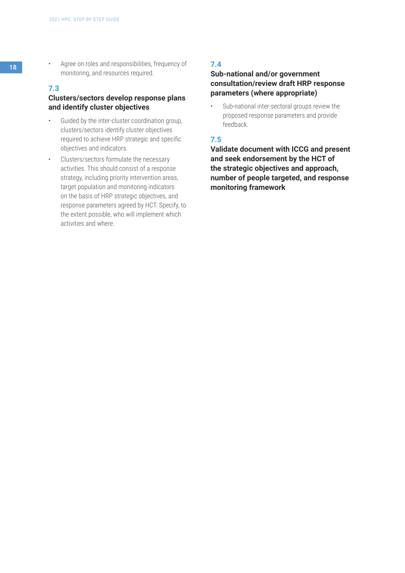18 • Agree on roles and responsibilities, frequency of monitoring, and resources required.

#### **7.3**

# **Clusters/sectors develop response plans and identify cluster objectives**

- Guided by the inter-cluster coordination group, clusters/sectors identify cluster objectives required to achieve HRP strategic and specific objectives and indicators.
- Clusters/sectors formulate the necessary activities. This should consist of a response strategy, including priority intervention areas, target population and monitoring indicators on the basis of HRP strategic objectives, and response parameters agreed by HCT. Specify, to the extent possible, who will implement which activities and where.

# **7.4**

## **Sub-national and/or government consultation/review draft HRP response parameters (where appropriate)**

Sub-national inter-sectoral groups review the proposed response parameters and provide feedback.

## **7.5**

**Validate document with ICCG and present and seek endorsement by the HCT of the strategic objectives and approach, number of people targeted, and response monitoring framework**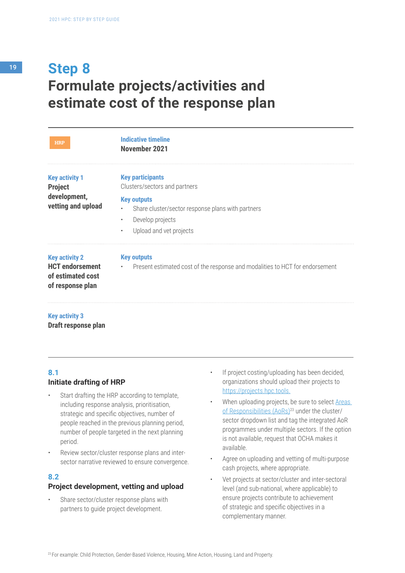# **Formulate projects/activities and estimate cost of the response plan Step 8**

| <b>HRP</b>                                                                               | <b>Indicative timeline</b><br>November 2021                                                                     |
|------------------------------------------------------------------------------------------|-----------------------------------------------------------------------------------------------------------------|
| <b>Key activity 1</b><br><b>Project</b>                                                  | <b>Key participants</b><br>Clusters/sectors and partners                                                        |
| development,<br>vetting and upload                                                       | <b>Key outputs</b><br>Share cluster/sector response plans with partners<br>Develop projects<br>$\bullet$        |
|                                                                                          | Upload and vet projects<br>$\bullet$                                                                            |
| <b>Key activity 2</b><br><b>HCT endorsement</b><br>of estimated cost<br>of response plan | <b>Key outputs</b><br>Present estimated cost of the response and modalities to HCT for endorsement<br>$\bullet$ |

#### **Key activity 3**

**Draft response plan**

### **8.1 Initiate drafting of HRP**

- Start drafting the HRP according to template, including response analysis, prioritisation, strategic and specific objectives, number of people reached in the previous planning period, number of people targeted in the next planning period.
- Review sector/cluster response plans and intersector narrative reviewed to ensure convergence.

### **8.2**

#### **Project development, vetting and upload**

Share sector/cluster response plans with partners to guide project development.

- If project costing/uploading has been decided, organizations should upload their projects to https://projects.hpc.tools.
- When uploading projects, be sure to select [Areas](https://interagencystandingcommittee.org/other/iasc-gender-age-marker-monitoring-information-june-2019
) of Responsibilities (AoRs)<sup>23</sup> under the cluster/ sector dropdown list and tag the integrated AoR programmes under multiple sectors. If the option is not available, request that OCHA makes it available.
- Agree on uploading and vetting of multi-purpose cash projects, where appropriate.
- Vet projects at sector/cluster and inter-sectoral level (and sub-national, where applicable) to ensure projects contribute to achievement of strategic and specific objectives in a complementary manner.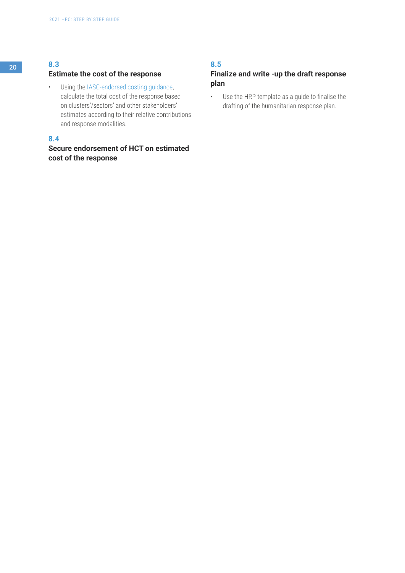## **Estimate the cost of the response**

• Using the [IASC-endorsed costing guidance,](https://interagencystandingcommittee.org/system/files/development_of_a_methodology_to_cost_inter-agency_hrp_2.pdf) calculate the total cost of the response based on clusters'/sectors' and other stakeholders' estimates according to their relative contributions and response modalities.

## **8.4**

# **Secure endorsement of HCT on estimated cost of the response**

# **8.5**

## **Finalize and write -up the draft response plan**

• Use the HRP template as a guide to finalise the drafting of the humanitarian response plan.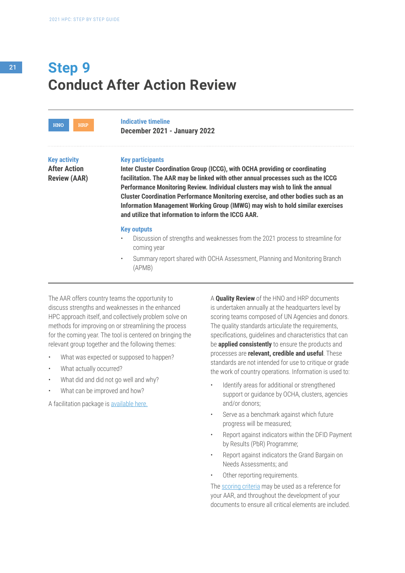# **Conduct After Action Review Step 9**

**Key activity HNO HRP**

**After Action Review (AAR)**

#### **Key participants**

**Indicative timeline** 

**December 2021 - January 2022**

**Inter Cluster Coordination Group (ICCG), with OCHA providing or coordinating facilitation. The AAR may be linked with other annual processes such as the ICCG Performance Monitoring Review. Individual clusters may wish to link the annual Cluster Coordination Performance Monitoring exercise, and other bodies such as an Information Management Working Group (IMWG) may wish to hold similar exercises and utilize that information to inform the ICCG AAR.**

#### **Key outputs**

- Discussion of strengths and weaknesses from the 2021 process to streamline for coming year
- Summary report shared with OCHA Assessment, Planning and Monitoring Branch (APMB)

The AAR offers country teams the opportunity to discuss strengths and weaknesses in the enhanced HPC approach itself, and collectively problem solve on methods for improving on or streamlining the process for the coming year. The tool is centered on bringing the relevant group together and the following themes:

- What was expected or supposed to happen?
- What actually occurred?
- What did and did not go well and why?
- What can be improved and how?

A facilitation package is [available here.](https://assessments.hpc.tools/content/hpc-2021-facilitation-package )

A **Quality Review** of the HNO and HRP documents is undertaken annually at the headquarters level by scoring teams composed of UN Agencies and donors. The quality standards articulate the requirements, specifications, guidelines and characteristics that can be **applied consistently** to ensure the products and processes are **relevant, credible and useful**. These standards are not intended for use to critique or grade the work of country operations. Information is used to:

- Identify areas for additional or strengthened support or guidance by OCHA, clusters, agencies and/or donors;
- Serve as a benchmark against which future progress will be measured;
- Report against indicators within the DFID Payment by Results (PbR) Programme;
- Report against indicators the Grand Bargain on Needs Assessments; and
- Other reporting requirements.

The [scoring criteria](https://www.dropbox.com/sh/zzbrzfpal6w0385/AADPrRurgqVXhxxAyKJVoXMVa?dl=0) may be used as a reference for your AAR, and throughout the development of your documents to ensure all critical elements are included.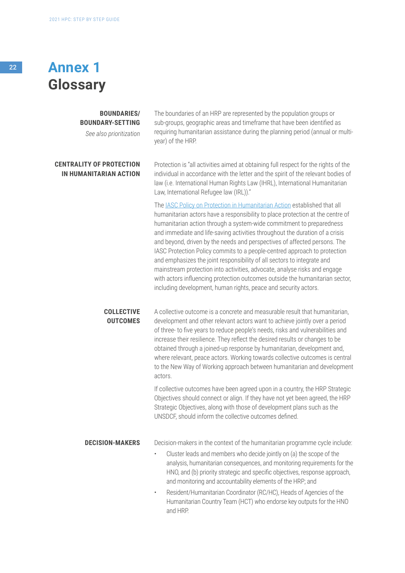# <sup>22</sup> **Annex 1 Glossary**

#### **BOUNDARIES/ BOUNDARY-SETTING**

*See also prioritization*

#### **CENTRALITY OF PROTECTION IN HUMANITARIAN ACTION**

The boundaries of an HRP are represented by the population groups or sub-groups, geographic areas and timeframe that have been identified as requiring humanitarian assistance during the planning period (annual or multiyear) of the HRP.

Protection is "all activities aimed at obtaining full respect for the rights of the individual in accordance with the letter and the spirit of the relevant bodies of law (i.e. International Human Rights Law (IHRL), International Humanitarian Law, International Refugee law (IRL))."

The [IASC Policy on Protection in Humanitarian Action](https://interagencystandingcommittee.org/system/files/iasc_policy_on_protection_in_humanitarian_action.pdf) established that all humanitarian actors have a responsibility to place protection at the centre of humanitarian action through a system-wide commitment to preparedness and immediate and life-saving activities throughout the duration of a crisis and beyond, driven by the needs and perspectives of affected persons. The IASC Protection Policy commits to a people-centred approach to protection and emphasizes the joint responsibility of all sectors to integrate and mainstream protection into activities, advocate, analyse risks and engage with actors influencing protection outcomes outside the humanitarian sector, including development, human rights, peace and security actors.

**COLLECTIVE OUTCOMES** A collective outcome is a concrete and measurable result that humanitarian, development and other relevant actors want to achieve jointly over a period of three- to five years to reduce people's needs, risks and vulnerabilities and increase their resilience. They reflect the desired results or changes to be obtained through a joined-up response by humanitarian, development and, where relevant, peace actors. Working towards collective outcomes is central to the New Way of Working approach between humanitarian and development actors.

> If collective outcomes have been agreed upon in a country, the HRP Strategic Objectives should connect or align. If they have not yet been agreed, the HRP Strategic Objectives, along with those of development plans such as the UNSDCF, should inform the collective outcomes defined.

**DECISION-MAKERS** Decision-makers in the context of the humanitarian programme cycle include:

- Cluster leads and members who decide jointly on (a) the scope of the analysis, humanitarian consequences, and monitoring requirements for the HNO, and (b) priority strategic and specific objectives, response approach, and monitoring and accountability elements of the HRP; and
- Resident/Humanitarian Coordinator (RC/HC), Heads of Agencies of the Humanitarian Country Team (HCT) who endorse key outputs for the HNO and HRP.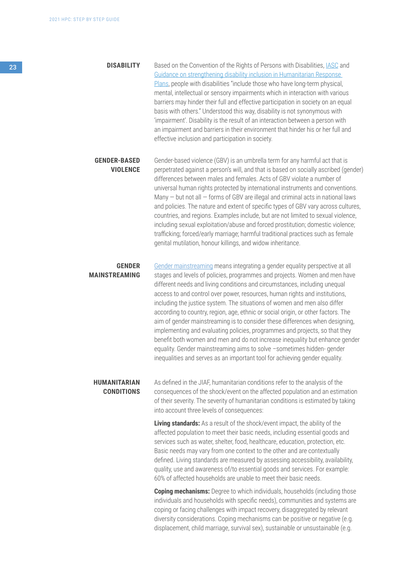23 **DISABILITY** Based on the Convention of the Rights of Persons with Disabilities, [IASC](https://interagencystandingcommittee.org/iasc-task-team-inclusion-persons-disabilities-humanitarian-action/documents/iasc-guidelines) and [Guidance on strengthening disability inclusion in Humanitarian Response](https://www.unicef.org/disabilities/files/Guidance_on_strengthening_disability_inclusion_in_Humanitarian_Response_Plans_2019.pdf)  [Plans,](https://www.unicef.org/disabilities/files/Guidance_on_strengthening_disability_inclusion_in_Humanitarian_Response_Plans_2019.pdf) people with disabilities "include those who have long-term physical, mental, intellectual or sensory impairments which in interaction with various barriers may hinder their full and effective participation in society on an equal basis with others." Understood this way, disability is not synonymous with 'impairment'. Disability is the result of an interaction between a person with an impairment and barriers in their environment that hinder his or her full and effective inclusion and participation in society.

> **GENDER-BASED VIOLENCE** Gender-based violence (GBV) is an umbrella term for any harmful act that is perpetrated against a person's will, and that is based on socially ascribed (gender) differences between males and females. Acts of GBV violate a number of universal human rights protected by international instruments and conventions. Many  $-$  but not all  $-$  forms of GBV are illegal and criminal acts in national laws and policies. The nature and extent of specific types of GBV vary across cultures, countries, and regions. Examples include, but are not limited to sexual violence, including sexual exploitation/abuse and forced prostitution; domestic violence; trafficking; forced/early marriage; harmful traditional practices such as female genital mutilation, honour killings, and widow inheritance.

#### **GENDER MAINSTREAMING**

[Gender mainstreaming](https://interagencystandingcommittee.org/system/files/2018-iasc_gender_handbook_for_humanitarian_action_eng_0.pdf) means integrating a gender equality perspective at all stages and levels of policies, programmes and projects. Women and men have different needs and living conditions and circumstances, including unequal access to and control over power, resources, human rights and institutions, including the justice system. The situations of women and men also differ according to country, region, age, ethnic or social origin, or other factors. The aim of gender mainstreaming is to consider these differences when designing, implementing and evaluating policies, programmes and projects, so that they benefit both women and men and do not increase inequality but enhance gender equality. Gender mainstreaming aims to solve –sometimes hidden- gender inequalities and serves as an important tool for achieving gender equality.

#### **HUMANITARIAN CONDITIONS**

As defined in the JIAF, humanitarian conditions refer to the analysis of the consequences of the shock/event on the affected population and an estimation of their severity. The severity of humanitarian conditions is estimated by taking into account three levels of consequences:

**Living standards:** As a result of the shock/event impact, the ability of the affected population to meet their basic needs, including essential goods and services such as water, shelter, food, healthcare, education, protection, etc. Basic needs may vary from one context to the other and are contextually defined. Living standards are measured by assessing accessibility, availability, quality, use and awareness of/to essential goods and services. For example: 60% of affected households are unable to meet their basic needs.

**Coping mechanisms:** Degree to which individuals, households (including those individuals and households with specific needs), communities and systems are coping or facing challenges with impact recovery, disaggregated by relevant diversity considerations. Coping mechanisms can be positive or negative (e.g. displacement, child marriage, survival sex), sustainable or unsustainable (e.g.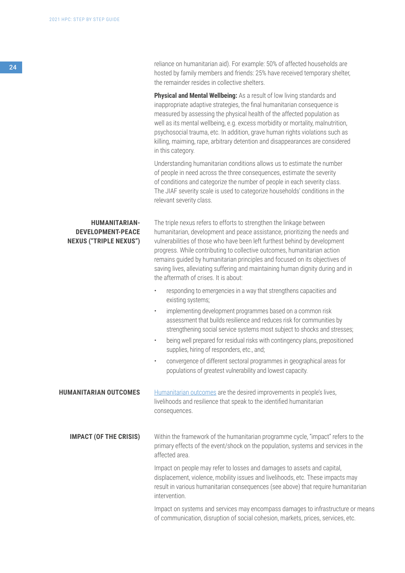reliance on humanitarian aid). For example: 50% of affected households are hosted by family members and friends: 25% have received temporary shelter, the remainder resides in collective shelters.

**Physical and Mental Wellbeing:** As a result of low living standards and inappropriate adaptive strategies, the final humanitarian consequence is measured by assessing the physical health of the affected population as well as its mental wellbeing, e.g. excess morbidity or mortality, malnutrition, psychosocial trauma, etc. In addition, grave human rights violations such as killing, maiming, rape, arbitrary detention and disappearances are considered in this category.

Understanding humanitarian conditions allows us to estimate the number of people in need across the three consequences, estimate the severity of conditions and categorize the number of people in each severity class. The JIAF severity scale is used to categorize households' conditions in the relevant severity class.

**HUMANITARIAN-DEVELOPMENT-PEACE NEXUS ("TRIPLE NEXUS")** The triple nexus refers to efforts to strengthen the linkage between humanitarian, development and peace assistance, prioritizing the needs and vulnerabilities of those who have been left furthest behind by development progress. While contributing to collective outcomes, humanitarian action remains guided by humanitarian principles and focused on its objectives of saving lives, alleviating suffering and maintaining human dignity during and in the aftermath of crises. It is about:

- responding to emergencies in a way that strengthens capacities and existing systems;
- implementing development programmes based on a common risk assessment that builds resilience and reduces risk for communities by strengthening social service systems most subject to shocks and stresses;
- being well prepared for residual risks with contingency plans, prepositioned supplies, hiring of responders, etc., and;
- convergence of different sectoral programmes in geographical areas for populations of greatest vulnerability and lowest capacity.

**HUMANITARIAN OUTCOMES** [Humanitarian outcomes](https://interagencystandingcommittee.org/system/files/2020-06/UN-IASC%20Collective%20Outcomes%20Light%20Guidance%20-%20FINAL.pdf) are the desired improvements in people's lives, livelihoods and resilience that speak to the identified humanitarian consequences.

**IMPACT (OF THE CRISIS)** Within the framework of the humanitarian programme cycle, "impact" refers to the primary effects of the event/shock on the population, systems and services in the affected area.

> Impact on people may refer to losses and damages to assets and capital, displacement, violence, mobility issues and livelihoods, etc. These impacts may result in various humanitarian consequences (see above) that require humanitarian intervention.

Impact on systems and services may encompass damages to infrastructure or means of communication, disruption of social cohesion, markets, prices, services, etc.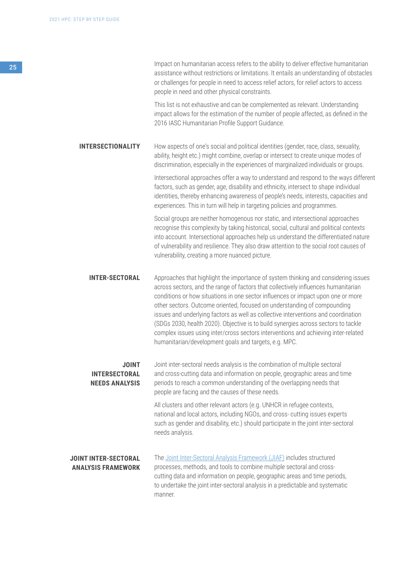<sup>25</sup> Impact on humanitarian access refers to the ability to deliver effective humanitarian assistance without restrictions or limitations. It entails an understanding of obstacles or challenges for people in need to access relief actors, for relief actors to access people in need and other physical constraints.

> This list is not exhaustive and can be complemented as relevant. Understanding impact allows for the estimation of the number of people affected, as defined in the 2016 IASC Humanitarian Profile Support Guidance.

**INTERSECTIONALITY** How aspects of one's social and political identities (gender, race, class, sexuality, ability, height etc.) might combine, overlap or intersect to create unique modes of discrimination, especially in the experiences of marginalized individuals or groups.

> Intersectional approaches offer a way to understand and respond to the ways different factors, such as gender, age, disability and ethnicity, intersect to shape individual identities, thereby enhancing awareness of people's needs, interests, capacities and experiences. This in turn will help in targeting policies and programmes.

Social groups are neither homogenous nor static, and intersectional approaches recognise this complexity by taking historical, social, cultural and political contexts into account. Intersectional approaches help us understand the differentiated nature of vulnerability and resilience. They also draw attention to the social root causes of vulnerability, creating a more nuanced picture.

**INTER-SECTORAL** Approaches that highlight the importance of system thinking and considering issues across sectors, and the range of factors that collectively influences humanitarian conditions or how situations in one sector influences or impact upon one or more other sectors. Outcome oriented, focused on understanding of compounding issues and underlying factors as well as collective interventions and coordination (SDGs 2030, health 2020). Objective is to build synergies across sectors to tackle complex issues using inter/cross sectors interventions and achieving inter-related humanitarian/development goals and targets, e.g. MPC.

#### **JOINT INTERSECTORAL NEEDS ANALYSIS**

Joint inter-sectoral needs analysis is the combination of multiple sectoral and cross-cutting data and information on people, geographic areas and time periods to reach a common understanding of the overlapping needs that people are facing and the causes of these needs.

All clusters and other relevant actors (e.g. UNHCR in refugee contexts, national and local actors, including NGOs, and cross- cutting issues experts such as gender and disability, etc.) should participate in the joint inter-sectoral needs analysis.

#### **JOINT INTER-SECTORAL ANALYSIS FRAMEWORK**

The [Joint Inter-Sectoral Analysis Framework \(JIAF\)](https://assessments.hpc.tools/km/2021-jiaf-guidance) includes structured processes, methods, and tools to combine multiple sectoral and crosscutting data and information on people, geographic areas and time periods, to undertake the joint inter-sectoral analysis in a predictable and systematic manner.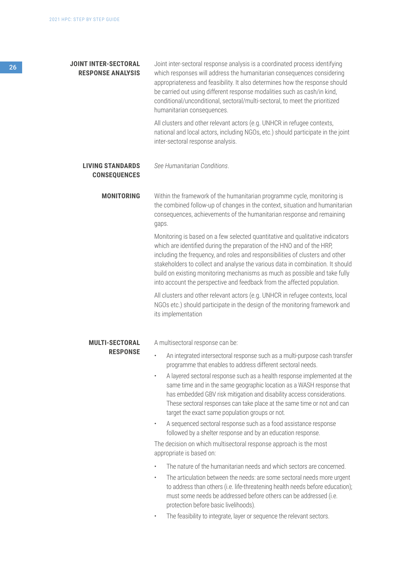# <sup>26</sup> **JOINT INTER-SECTORAL RESPONSE ANALYSIS MONITORING MULTI-SECTORAL RESPONSE LIVING STANDARDS CONSEQUENCES** Joint inter-sectoral response analysis is a coordinated process identifying which responses will address the humanitarian consequences considering appropriateness and feasibility. It also determines how the response should be carried out using different response modalities such as cash/in kind, conditional/unconditional, sectoral/multi-sectoral, to meet the prioritized humanitarian consequences. All clusters and other relevant actors (e.g. UNHCR in refugee contexts, national and local actors, including NGOs, etc.) should participate in the joint inter-sectoral response analysis. Within the framework of the humanitarian programme cycle, monitoring is the combined follow-up of changes in the context, situation and humanitarian consequences, achievements of the humanitarian response and remaining gaps. Monitoring is based on a few selected quantitative and qualitative indicators which are identified during the preparation of the HNO and of the HRP, including the frequency, and roles and responsibilities of clusters and other stakeholders to collect and analyse the various data in combination. It should build on existing monitoring mechanisms as much as possible and take fully into account the perspective and feedback from the affected population. All clusters and other relevant actors (e.g. UNHCR in refugee contexts, local NGOs etc.) should participate in the design of the monitoring framework and its implementation A multisectoral response can be: • An integrated intersectoral response such as a multi-purpose cash transfer programme that enables to address different sectoral needs. • A layered sectoral response such as a health response implemented at the same time and in the same geographic location as a WASH response that has embedded GBV risk mitigation and disability access considerations. These sectoral responses can take place at the same time or not and can target the exact same population groups or not. • A sequenced sectoral response such as a food assistance response followed by a shelter response and by an education response. The decision on which multisectoral response approach is the most appropriate is based on: The nature of the humanitarian needs and which sectors are concerned. *See Humanitarian Conditions*.

- The articulation between the needs: are some sectoral needs more urgent to address than others (i.e. life-threatening health needs before education); must some needs be addressed before others can be addressed (i.e. protection before basic livelihoods).
- The feasibility to integrate, layer or sequence the relevant sectors.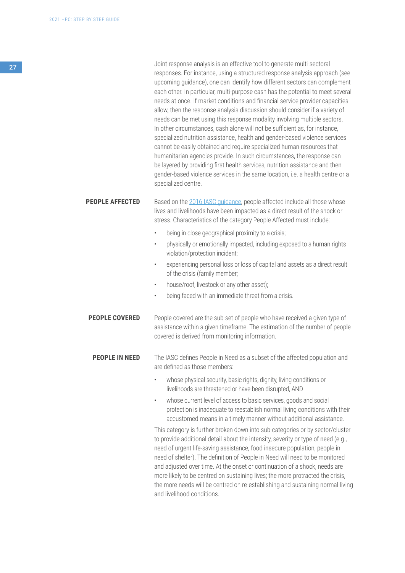|                        | Joint response analysis is an effective tool to generate multi-sectoral<br>responses. For instance, using a structured response analysis approach (see<br>upcoming guidance), one can identify how different sectors can complement<br>each other. In particular, multi-purpose cash has the potential to meet several<br>needs at once. If market conditions and financial service provider capacities<br>allow, then the response analysis discussion should consider if a variety of<br>needs can be met using this response modality involving multiple sectors.<br>In other circumstances, cash alone will not be sufficient as, for instance,<br>specialized nutrition assistance, health and gender-based violence services<br>cannot be easily obtained and require specialized human resources that<br>humanitarian agencies provide. In such circumstances, the response can<br>be layered by providing first health services, nutrition assistance and then<br>gender-based violence services in the same location, i.e. a health centre or a<br>specialized centre. |
|------------------------|---------------------------------------------------------------------------------------------------------------------------------------------------------------------------------------------------------------------------------------------------------------------------------------------------------------------------------------------------------------------------------------------------------------------------------------------------------------------------------------------------------------------------------------------------------------------------------------------------------------------------------------------------------------------------------------------------------------------------------------------------------------------------------------------------------------------------------------------------------------------------------------------------------------------------------------------------------------------------------------------------------------------------------------------------------------------------------|
| <b>PEOPLE AFFECTED</b> | Based on the 2016 IASC guidance, people affected include all those whose<br>lives and livelihoods have been impacted as a direct result of the shock or<br>stress. Characteristics of the category People Affected must include:                                                                                                                                                                                                                                                                                                                                                                                                                                                                                                                                                                                                                                                                                                                                                                                                                                                |
|                        | being in close geographical proximity to a crisis;<br>$\bullet$                                                                                                                                                                                                                                                                                                                                                                                                                                                                                                                                                                                                                                                                                                                                                                                                                                                                                                                                                                                                                 |
|                        | physically or emotionally impacted, including exposed to a human rights<br>$\bullet$<br>violation/protection incident;                                                                                                                                                                                                                                                                                                                                                                                                                                                                                                                                                                                                                                                                                                                                                                                                                                                                                                                                                          |
|                        | experiencing personal loss or loss of capital and assets as a direct result<br>$\bullet$<br>of the crisis (family member;                                                                                                                                                                                                                                                                                                                                                                                                                                                                                                                                                                                                                                                                                                                                                                                                                                                                                                                                                       |
|                        | house/roof, livestock or any other asset);<br>۰                                                                                                                                                                                                                                                                                                                                                                                                                                                                                                                                                                                                                                                                                                                                                                                                                                                                                                                                                                                                                                 |
|                        | being faced with an immediate threat from a crisis.<br>$\bullet$                                                                                                                                                                                                                                                                                                                                                                                                                                                                                                                                                                                                                                                                                                                                                                                                                                                                                                                                                                                                                |
| <b>PEOPLE COVERED</b>  | People covered are the sub-set of people who have received a given type of<br>assistance within a given timeframe. The estimation of the number of people<br>covered is derived from monitoring information.                                                                                                                                                                                                                                                                                                                                                                                                                                                                                                                                                                                                                                                                                                                                                                                                                                                                    |
| <b>PEOPLE IN NEED</b>  | The IASC defines People in Need as a subset of the affected population and<br>are defined as those members:                                                                                                                                                                                                                                                                                                                                                                                                                                                                                                                                                                                                                                                                                                                                                                                                                                                                                                                                                                     |
|                        | whose physical security, basic rights, dignity, living conditions or<br>livelihoods are threatened or have been disrupted, AND                                                                                                                                                                                                                                                                                                                                                                                                                                                                                                                                                                                                                                                                                                                                                                                                                                                                                                                                                  |
|                        | whose current level of access to basic services, goods and social<br>$\bullet$<br>protection is inadequate to reestablish normal living conditions with their<br>accustomed means in a timely manner without additional assistance.                                                                                                                                                                                                                                                                                                                                                                                                                                                                                                                                                                                                                                                                                                                                                                                                                                             |
|                        | This category is further broken down into sub-categories or by sector/cluster<br>to provide additional detail about the intensity, severity or type of need (e.g.,<br>need of urgent life-saving assistance, food insecure population, people in<br>need of shelter). The definition of People in Need will need to be monitored<br>and adjusted over time. At the onset or continuation of a shock, needs are                                                                                                                                                                                                                                                                                                                                                                                                                                                                                                                                                                                                                                                                  |

more likely to be centred on sustaining lives; the more protracted the crisis, the more needs will be centred on re-establishing and sustaining normal living and livelihood conditions.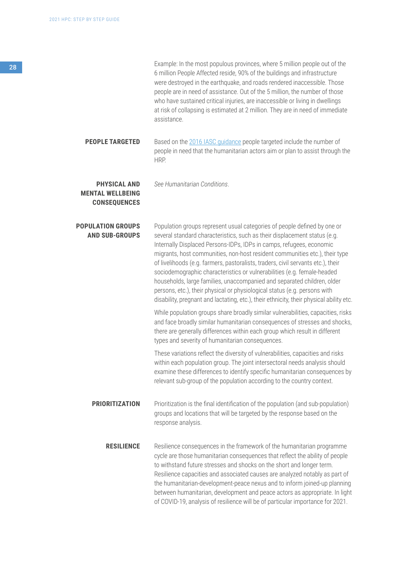| Example: In the most populous provinces, where 5 million people out of the     |
|--------------------------------------------------------------------------------|
| 6 million People Affected reside, 90% of the buildings and infrastructure      |
| were destroyed in the earthquake, and roads rendered inaccessible. Those       |
| people are in need of assistance. Out of the 5 million, the number of those    |
| who have sustained critical injuries, are inaccessible or living in dwellings  |
| at risk of collapsing is estimated at 2 million. They are in need of immediate |
| assistance.                                                                    |

**PEOPLE TARGETED** Based on the [2016 IASC guidance](https://www.humanitarianresponse.info/sites/www.humanitarianresponse.info/files/documents/files/humanitarianprofilesupportguidance_final_may2016.pdf) people targeted include the number of people in need that the humanitarian actors aim or plan to assist through the HRP.

**PHYSICAL AND MENTAL WELLBEING CONSEQUENCES** *See Humanitarian Conditions*.

**POPULATION GROUPS AND SUB-GROUPS** Population groups represent usual categories of people defined by one or several standard characteristics, such as their displacement status (e.g. Internally Displaced Persons-IDPs, IDPs in camps, refugees, economic migrants, host communities, non-host resident communities etc.), their type of livelihoods (e.g. farmers, pastoralists, traders, civil servants etc.), their sociodemographic characteristics or vulnerabilities (e.g. female-headed households, large families, unaccompanied and separated children, older persons, etc.), their physical or physiological status (e.g. persons with disability, pregnant and lactating, etc.), their ethnicity, their physical ability etc.

While population groups share broadly similar vulnerabilities, capacities, risks and face broadly similar humanitarian consequences of stresses and shocks, there are generally differences within each group which result in different types and severity of humanitarian consequences.

These variations reflect the diversity of vulnerabilities, capacities and risks within each population group. The joint intersectoral needs analysis should examine these differences to identify specific humanitarian consequences by relevant sub-group of the population according to the country context.

**PRIORITIZATION** Prioritization is the final identification of the population (and sub-population) groups and locations that will be targeted by the response based on the response analysis.

**RESILIENCE** Resilience consequences in the framework of the humanitarian programme cycle are those humanitarian consequences that reflect the ability of people to withstand future stresses and shocks on the short and longer term. Resilience capacities and associated causes are analyzed notably as part of the humanitarian-development-peace nexus and to inform joined-up planning between humanitarian, development and peace actors as appropriate. In light of COVID-19, analysis of resilience will be of particular importance for 2021.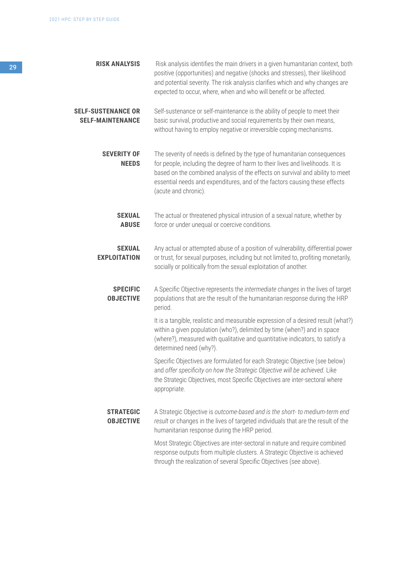| <b>RISK ANALYSIS</b><br>29                           | Risk analysis identifies the main drivers in a given humanitarian context, both<br>positive (opportunities) and negative (shocks and stresses), their likelihood<br>and potential severity. The risk analysis clarifies which and why changes are<br>expected to occur, where, when and who will benefit or be affected.                           |
|------------------------------------------------------|----------------------------------------------------------------------------------------------------------------------------------------------------------------------------------------------------------------------------------------------------------------------------------------------------------------------------------------------------|
| <b>SELF-SUSTENANCE OR</b><br><b>SELF-MAINTENANCE</b> | Self-sustenance or self-maintenance is the ability of people to meet their<br>basic survival, productive and social requirements by their own means,<br>without having to employ negative or irreversible coping mechanisms.                                                                                                                       |
| <b>SEVERITY OF</b><br><b>NEEDS</b>                   | The severity of needs is defined by the type of humanitarian consequences<br>for people, including the degree of harm to their lives and livelihoods. It is<br>based on the combined analysis of the effects on survival and ability to meet<br>essential needs and expenditures, and of the factors causing these effects<br>(acute and chronic). |
| <b>SEXUAL</b><br><b>ABUSE</b>                        | The actual or threatened physical intrusion of a sexual nature, whether by<br>force or under unequal or coercive conditions.                                                                                                                                                                                                                       |
| <b>SEXUAL</b><br><b>EXPLOITATION</b>                 | Any actual or attempted abuse of a position of vulnerability, differential power<br>or trust, for sexual purposes, including but not limited to, profiting monetarily,<br>socially or politically from the sexual exploitation of another.                                                                                                         |
| <b>SPECIFIC</b><br><b>OBJECTIVE</b>                  | A Specific Objective represents the intermediate changes in the lives of target<br>populations that are the result of the humanitarian response during the HRP<br>period.                                                                                                                                                                          |
|                                                      | It is a tangible, realistic and measurable expression of a desired result (what?)<br>within a given population (who?), delimited by time (when?) and in space<br>(where?), measured with qualitative and quantitative indicators, to satisfy a<br>determined need (why?).                                                                          |
|                                                      | Specific Objectives are formulated for each Strategic Objective (see below)<br>and offer specificity on how the Strategic Objective will be achieved. Like<br>the Strategic Objectives, most Specific Objectives are inter-sectoral where<br>appropriate.                                                                                          |
| <b>STRATEGIC</b><br><b>OBJECTIVE</b>                 | A Strategic Objective is outcome-based and is the short- to medium-term end<br>result or changes in the lives of targeted individuals that are the result of the<br>humanitarian response during the HRP period.                                                                                                                                   |
|                                                      | Most Strategic Objectives are inter-sectoral in nature and require combined<br>response outputs from multiple clusters. A Strategic Objective is achieved<br>through the realization of several Specific Objectives (see above).                                                                                                                   |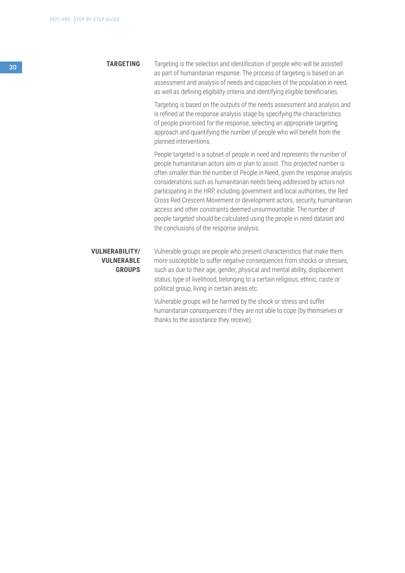#### **TARGETING**

Targeting is the selection and identification of people who will be assisted as part of humanitarian response. The process of targeting is based on an assessment and analysis of needs and capacities of the population in need, as well as defining eligibility criteria and identifying eligible beneficiaries.

Targeting is based on the outputs of the needs assessment and analysis and is refined at the response analysis stage by specifying the characteristics of people prioritised for the response, selecting an appropriate targeting approach and quantifying the number of people who will benefit from the planned interventions.

People targeted is a subset of people in need and represents the number of people humanitarian actors aim or plan to assist. This projected number is often smaller than the number of People in Need, given the response analysis considerations such as humanitarian needs being addressed by actors not participating in the HRP, including government and local authorities, the Red Cross Red Crescent Movement or development actors, security, humanitarian access and other constraints deemed unsurmountable. The number of people targeted should be calculated using the people in need dataset and the conclusions of the response analysis.

### **VULNERABILITY/ VULNERABLE GROUPS**

Vulnerable groups are people who present characteristics that make them more susceptible to suffer negative consequences from shocks or stresses, such as due to their age, gender, physical and mental ability, displacement status, type of livelihood, belonging to a certain religious, ethnic, caste or political group, living in certain areas etc.

Vulnerable groups will be harmed by the shock or stress and suffer humanitarian consequences if they are not able to cope (by themselves or thanks to the assistance they receive).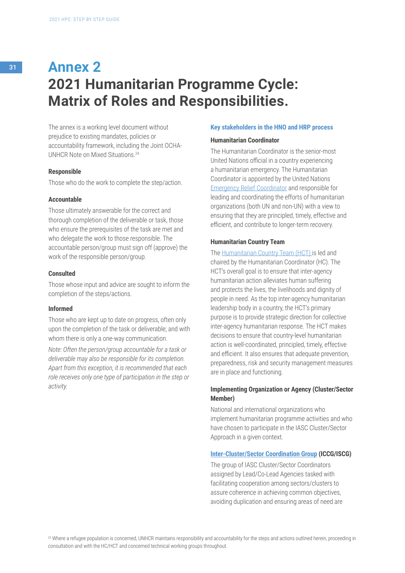# <sup>31</sup> **Annex 2 2021 Humanitarian Programme Cycle: Matrix of Roles and Responsibilities.**

The annex is a working level document without prejudice to existing mandates, policies or accountability framework, including the Joint OCHA-UNHCR Note on Mixed Situations.24

#### **Responsible**

Those who do the work to complete the step/action.

#### **Accountable**

Those ultimately answerable for the correct and thorough completion of the deliverable or task, those who ensure the prerequisites of the task are met and who delegate the work to those responsible. The accountable person/group must sign off (approve) the work of the responsible person/group.

#### **Consulted**

Those whose input and advice are sought to inform the completion of the steps/actions.

#### **Informed**

Those who are kept up to date on progress, often only upon the completion of the task or deliverable; and with whom there is only a one-way communication.

*Note: Often the person/group accountable for a task or deliverable may also be responsible for its completion. Apart from this exception, it is recommended that each role receives only one type of participation in the step or activity.* 

#### **Key stakeholders in the HNO and HRP process**

#### **Humanitarian Coordinator**

The Humanitarian Coordinator is the senior-most United Nations official in a country experiencing a humanitarian emergency. The Humanitarian Coordinator is appointed by the United Nations [Emergency Relief Coordinator](https://interagencystandingcommittee.org/emergency-relief-coordinator) and responsible for leading and coordinating the efforts of humanitarian organizations (both UN and non-UN) with a view to ensuring that they are principled, timely, effective and efficient, and contribute to longer-term recovery.

#### **Humanitarian Country Team**

The [Humanitarian Country Team \(HCT\) i](https://interagencystandingcommittee.org/system/files/hct_tors.pdf)s led and chaired by the Humanitarian Coordinator (HC). The HCT's overall goal is to ensure that inter-agency humanitarian action alleviates human suffering and protects the lives, the livelihoods and dignity of people in need. As the top inter-agency humanitarian leadership body in a country, the HCT's primary purpose is to provide strategic direction for collective inter-agency humanitarian response. The HCT makes decisions to ensure that country-level humanitarian action is well-coordinated, principled, timely, effective and efficient. It also ensures that adequate prevention, preparedness, risk and security management measures are in place and functioning.

#### **Implementing Organization or Agency (Cluster/Sector Member)**

National and international organizations who implement humanitarian programme activities and who have chosen to participate in the IASC Cluster/Sector Approach in a given context.

#### **[Inter-Cluster/Sector Coordination Group](https://www.humanitarianresponse.info/en/how-to/do-inter-cluster-coordination) (ICCG/ISCG)**

The group of IASC Cluster/Sector Coordinators assigned by Lead/Co-Lead Agencies tasked with facilitating cooperation among sectors/clusters to assure coherence in achieving common objectives, avoiding duplication and ensuring areas of need are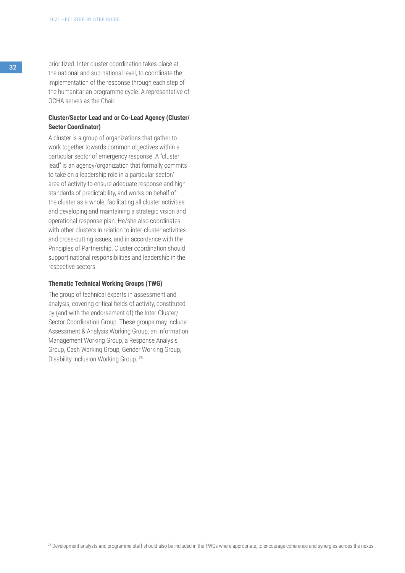<sup>32</sup> prioritized. Inter-cluster coordination takes place at the national and sub-national level, to coordinate the implementation of the response through each step of the humanitarian programme cycle. A representative of OCHA serves as the Chair.

## **Cluster/Sector Lead and or Co-Lead Agency (Cluster/ Sector Coordinator)**

A cluster is a group of organizations that gather to work together towards common objectives within a particular sector of emergency response. A "cluster lead" is an agency/organization that formally commits to take on a leadership role in a particular sector/ area of activity to ensure adequate response and high standards of predictability, and works on behalf of the cluster as a whole, facilitating all cluster activities and developing and maintaining a strategic vision and operational response plan. He/she also coordinates with other clusters in relation to inter-cluster activities and cross-cutting issues, and in accordance with the Principles of Partnership. Cluster coordination should support national responsibilities and leadership in the respective sectors.

#### **Thematic Technical Working Groups (TWG)**

The group of technical experts in assessment and analysis, covering critical fields of activity, constituted by (and with the endorsement of) the Inter-Cluster/ Sector Coordination Group. These groups may include: Assessment & Analysis Working Group, an Information Management Working Group, a Response Analysis Group, Cash Working Group, Gender Working Group, Disability Inclusion Working Group. 25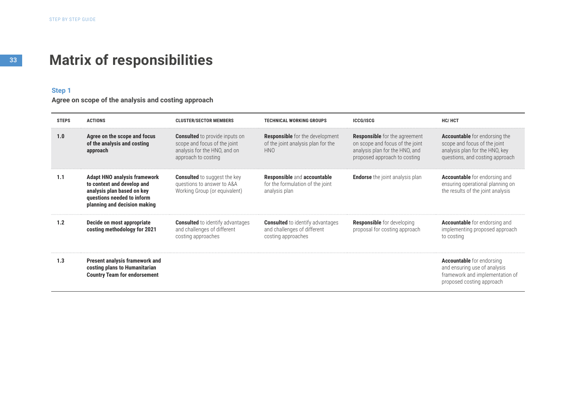# **Matrix of responsibilities**

#### **Step 1**

**Agree on scope of the analysis and costing approach**

| <b>STEPS</b> | <b>ACTIONS</b>                                                                                                                                                | <b>CLUSTER/SECTOR MEMBERS</b>                                                                                                | <b>TECHNICAL WORKING GROUPS</b>                                                              | <b>ICCG/ISCG</b>                                                                                                                          | HC/HCT                                                                                                                                    |
|--------------|---------------------------------------------------------------------------------------------------------------------------------------------------------------|------------------------------------------------------------------------------------------------------------------------------|----------------------------------------------------------------------------------------------|-------------------------------------------------------------------------------------------------------------------------------------------|-------------------------------------------------------------------------------------------------------------------------------------------|
| 1.0          | Agree on the scope and focus<br>of the analysis and costing<br>approach                                                                                       | <b>Consulted</b> to provide inputs on<br>scope and focus of the joint<br>analysis for the HNO, and on<br>approach to costing | <b>Responsible</b> for the development<br>of the joint analysis plan for the<br>HNO.         | <b>Responsible</b> for the agreement<br>on scope and focus of the joint<br>analysis plan for the HNO, and<br>proposed approach to costing | <b>Accountable</b> for endorsing the<br>scope and focus of the joint<br>analysis plan for the HNO, key<br>questions, and costing approach |
| 1.1          | <b>Adapt HNO analysis framework</b><br>to context and develop and<br>analysis plan based on key<br>questions needed to inform<br>planning and decision making | <b>Consulted</b> to suggest the key<br>questions to answer to A&A<br>Working Group (or equivalent)                           | <b>Responsible and accountable</b><br>for the formulation of the joint<br>analysis plan      | <b>Endorse</b> the joint analysis plan                                                                                                    | <b>Accountable</b> for endorsing and<br>ensuring operational planning on<br>the results of the joint analysis                             |
| 1.2          | Decide on most appropriate<br>costing methodology for 2021                                                                                                    | <b>Consulted</b> to identify advantages<br>and challenges of different<br>costing approaches                                 | <b>Consulted</b> to identify advantages<br>and challenges of different<br>costing approaches | <b>Responsible</b> for developing<br>proposal for costing approach                                                                        | <b>Accountable</b> for endorsing and<br>implementing proposed approach<br>to costing                                                      |
| 1.3          | <b>Present analysis framework and</b><br>costing plans to Humanitarian<br><b>Country Team for endorsement</b>                                                 |                                                                                                                              |                                                                                              |                                                                                                                                           | <b>Accountable</b> for endorsing<br>and ensuring use of analysis<br>framework and implementation of<br>proposed costing approach          |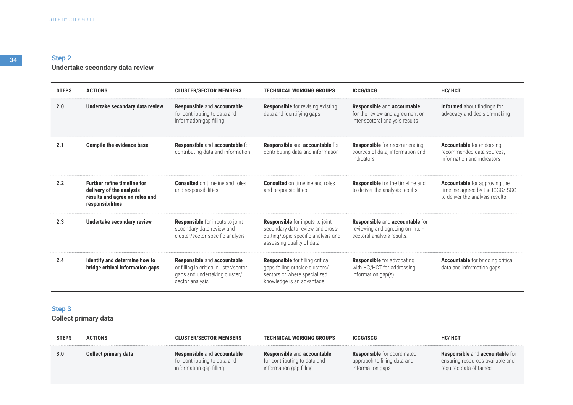# **Step 2 Undertake secondary data review**

| <b>STEPS</b> | <b>ACTIONS</b>                                                                                                       | <b>CLUSTER/SECTOR MEMBERS</b>                                                                                            | <b>TECHNICAL WORKING GROUPS</b>                                                                                                                | <b>ICCG/ISCG</b>                                                                                  | <b>HC/HCT</b>                                                                                                |
|--------------|----------------------------------------------------------------------------------------------------------------------|--------------------------------------------------------------------------------------------------------------------------|------------------------------------------------------------------------------------------------------------------------------------------------|---------------------------------------------------------------------------------------------------|--------------------------------------------------------------------------------------------------------------|
| 2.0          | Undertake secondary data review                                                                                      | Responsible and accountable<br>for contributing to data and<br>information-gap filling                                   | <b>Responsible</b> for revising existing<br>data and identifying gaps                                                                          | Responsible and accountable<br>for the review and agreement on<br>inter-sectoral analysis results | <b>Informed</b> about findings for<br>advocacy and decision-making                                           |
| 2.1          | <b>Compile the evidence base</b>                                                                                     | Responsible and accountable for<br>contributing data and information                                                     | Responsible and accountable for<br>contributing data and information                                                                           | <b>Responsible</b> for recommending<br>sources of data, information and<br>indicators             | <b>Accountable</b> for endorsing<br>recommended data sources.<br>information and indicators                  |
| 2.2          | <b>Further refine timeline for</b><br>delivery of the analysis<br>results and agree on roles and<br>responsibilities | <b>Consulted</b> on timeline and roles<br>and responsibilities                                                           | <b>Consulted</b> on timeline and roles<br>and responsibilities                                                                                 | <b>Responsible</b> for the timeline and<br>to deliver the analysis results                        | <b>Accountable</b> for approving the<br>timeline agreed by the ICCG/ISCG<br>to deliver the analysis results. |
| 2.3          | <b>Undertake secondary review</b>                                                                                    | <b>Responsible</b> for inputs to joint<br>secondary data review and<br>cluster/sector-specific analysis                  | <b>Responsible</b> for inputs to joint<br>secondary data review and cross-<br>cutting/topic-specific analysis and<br>assessing quality of data | Responsible and accountable for<br>reviewing and agreeing on inter-<br>sectoral analysis results. |                                                                                                              |
| 2.4          | Identify and determine how to<br>bridge critical information gaps                                                    | Responsible and accountable<br>or filling in critical cluster/sector<br>gaps and undertaking cluster/<br>sector analysis | <b>Responsible</b> for filling critical<br>gaps falling outside clusters/<br>sectors or where specialized<br>knowledge is an advantage         | <b>Responsible</b> for advocating<br>with HC/HCT for addressing<br>information gap(s).            | <b>Accountable</b> for bridging critical<br>data and information gaps.                                       |

# **Step 3**

**Collect primary data**

| <b>STEPS</b> | <b>ACTIONS</b>              | <b>CLUSTER/SECTOR MEMBERS</b>                                                                 | <b>TECHNICAL WORKING GROUPS</b>                                                               | <b>ICCG/ISCG</b>                                                                       | <b>HC/HCT</b>                                                                                  |
|--------------|-----------------------------|-----------------------------------------------------------------------------------------------|-----------------------------------------------------------------------------------------------|----------------------------------------------------------------------------------------|------------------------------------------------------------------------------------------------|
| 3.0          | <b>Collect primary data</b> | <b>Responsible and accountable</b><br>for contributing to data and<br>information-gap filling | <b>Responsible and accountable</b><br>for contributing to data and<br>information-gap filling | <b>Responsible</b> for coordinated<br>approach to filling data and<br>information gaps | Responsible and accountable for<br>ensuring resources available and<br>required data obtained. |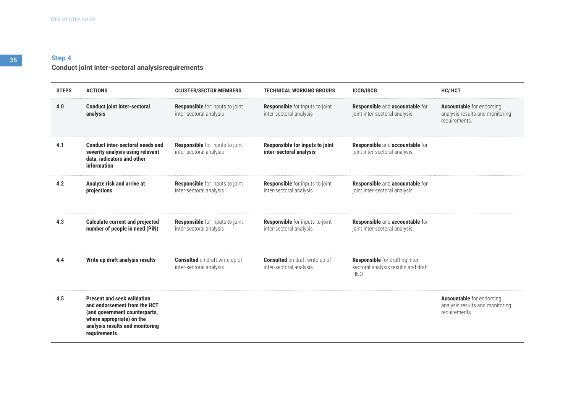### **Conduct joint inter-sectoral analysisrequirements**

| <b>STEPS</b> | <b>ACTIONS</b>                                                                                                                                                                      | <b>CLUSTER/SECTOR MEMBERS</b>                                     | <b>TECHNICAL WORKING GROUPS</b>                                   | <b>ICCG/ISCG</b>                                                                     | HC/HCT                                                                               |
|--------------|-------------------------------------------------------------------------------------------------------------------------------------------------------------------------------------|-------------------------------------------------------------------|-------------------------------------------------------------------|--------------------------------------------------------------------------------------|--------------------------------------------------------------------------------------|
| 4.0          | <b>Conduct joint inter-sectoral</b><br>analysis                                                                                                                                     | <b>Responsible</b> for inputs to joint<br>inter-sectoral analysis | <b>Responsible</b> for inputs to joint<br>inter-sectoral analysis | Responsible and accountable for<br>joint inter-sectoral analysis                     | <b>Accountable</b> for endorsing<br>analysis results and monitoring<br>requirements. |
| 4.1          | Conduct inter-sectoral needs and<br>severity analysis using relevant<br>data, indicators and other<br>information                                                                   | <b>Responsible</b> for inputs to joint<br>inter-sectoral analysis | Responsible for inputs to joint<br>inter-sectoral analysis        | Responsible and accountable for<br>joint inter-sectoral analysis                     |                                                                                      |
| 4.2          | Analyze risk and arrive at<br>projections                                                                                                                                           | <b>Responsible</b> for inputs to joint<br>inter-sectoral analysis | <b>Responsible</b> for inputs to joint<br>inter-sectoral analysis | Responsible and accountable for<br>joint inter-sectoral analysis                     |                                                                                      |
| 4.3          | <b>Calculate current and projected</b><br>number of people in need (PiN)                                                                                                            | <b>Responsible</b> for inputs to joint<br>inter-sectoral analysis | <b>Responsible</b> for inputs to joint<br>inter-sectoral analysis | Responsible and accountable for<br>joint inter-sectoral analysis                     |                                                                                      |
| 4.4          | Write up draft analysis results                                                                                                                                                     | <b>Consulted</b> on draft write up of<br>inter-sectoral analysis  | <b>Consulted</b> on draft write up of<br>inter-sectoral analysis  | Responsible for drafting inter-<br>sectoral analysis results and draft<br><b>HNO</b> |                                                                                      |
| 4.5          | <b>Present and seek validation</b><br>and endorsement from the HCT<br>(and government counterparts,<br>where appropriate) on the<br>analysis results and monitoring<br>requirements |                                                                   |                                                                   |                                                                                      | <b>Accountable</b> for endorsing<br>analysis results and monitoring<br>requirements  |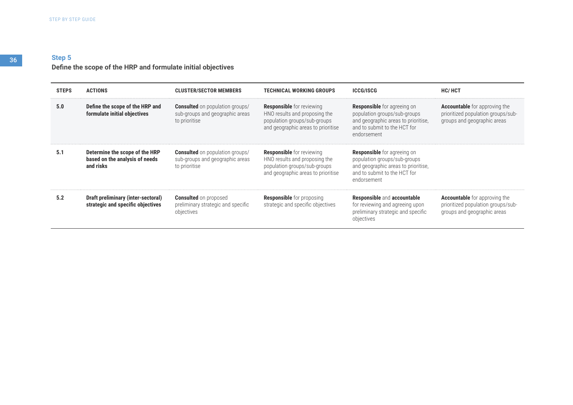# **Step 5 Define the scope of the HRP and formulate initial objectives**

| <b>STEPS</b> | ACTIONS                                                                       | <b>CLUSTER/SECTOR MEMBERS</b>                                                              | <b>TECHNICAL WORKING GROUPS</b>                                                                                                         | <b>ICCG/ISCG</b>                                                                                                                                         | <b>HC/HCT</b>                                                                                             |
|--------------|-------------------------------------------------------------------------------|--------------------------------------------------------------------------------------------|-----------------------------------------------------------------------------------------------------------------------------------------|----------------------------------------------------------------------------------------------------------------------------------------------------------|-----------------------------------------------------------------------------------------------------------|
| 5.0          | Define the scope of the HRP and<br>formulate initial objectives               | <b>Consulted</b> on population groups/<br>sub-groups and geographic areas<br>to prioritise | <b>Responsible</b> for reviewing<br>HNO results and proposing the<br>population groups/sub-groups<br>and geographic areas to prioritise | <b>Responsible</b> for agreeing on<br>population groups/sub-groups<br>and geographic areas to prioritise,<br>and to submit to the HCT for<br>endorsement | <b>Accountable</b> for approving the<br>prioritized population groups/sub-<br>groups and geographic areas |
| 5.1          | Determine the scope of the HRP<br>based on the analysis of needs<br>and risks | <b>Consulted</b> on population groups/<br>sub-groups and geographic areas<br>to prioritise | <b>Responsible</b> for reviewing<br>HNO results and proposing the<br>population groups/sub-groups<br>and geographic areas to prioritise | <b>Responsible</b> for agreeing on<br>population groups/sub-groups<br>and geographic areas to prioritise,<br>and to submit to the HCT for<br>endorsement |                                                                                                           |
| 5.2          | Draft preliminary (inter-sectoral)<br>strategic and specific objectives       | <b>Consulted</b> on proposed<br>preliminary strategic and specific<br>objectives           | <b>Responsible</b> for proposing<br>strategic and specific objectives                                                                   | <b>Responsible and accountable</b><br>for reviewing and agreeing upon<br>preliminary strategic and specific<br>objectives                                | <b>Accountable</b> for approving the<br>prioritized population groups/sub-<br>groups and geographic areas |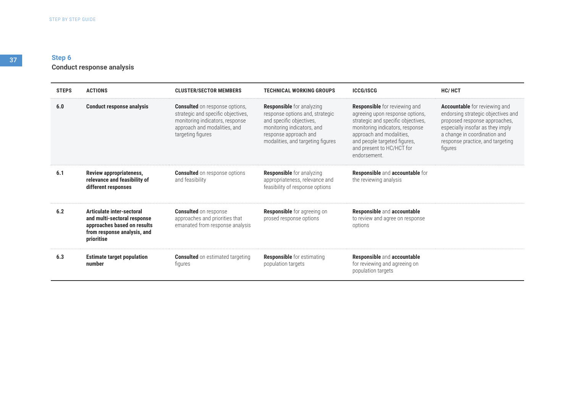# **Step 6 Conduct response analysis**

| <b>STEPS</b> | <b>ACTIONS</b>                                                                                                                       | <b>CLUSTER/SECTOR MEMBERS</b>                                                                                                                                       | <b>TECHNICAL WORKING GROUPS</b>                                                                                                                                                             | <b>ICCG/ISCG</b>                                                                                                                                                                                                                                          | <b>HC/HCT</b>                                                                                                                                                                                                           |
|--------------|--------------------------------------------------------------------------------------------------------------------------------------|---------------------------------------------------------------------------------------------------------------------------------------------------------------------|---------------------------------------------------------------------------------------------------------------------------------------------------------------------------------------------|-----------------------------------------------------------------------------------------------------------------------------------------------------------------------------------------------------------------------------------------------------------|-------------------------------------------------------------------------------------------------------------------------------------------------------------------------------------------------------------------------|
| 6.0          | <b>Conduct response analysis</b>                                                                                                     | <b>Consulted</b> on response options,<br>strategic and specific objectives,<br>monitoring indicators, response<br>approach and modalities, and<br>targeting figures | <b>Responsible</b> for analyzing<br>response options and, strategic<br>and specific objectives,<br>monitoring indicators, and<br>response approach and<br>modalities, and targeting figures | <b>Responsible</b> for reviewing and<br>agreeing upon response options,<br>strategic and specific objectives,<br>monitoring indicators, response<br>approach and modalities.<br>and people targeted figures,<br>and present to HC/HCT for<br>endorsement. | Accountable for reviewing and<br>endorsing strategic objectives and<br>proposed response approaches,<br>especially insofar as they imply<br>a change in coordination and<br>response practice, and targeting<br>figures |
| 6.1          | <b>Review appropriateness,</b><br>relevance and feasibility of<br>different responses                                                | <b>Consulted</b> on response options<br>and feasibility                                                                                                             | <b>Responsible</b> for analyzing<br>appropriateness, relevance and<br>feasibility of response options                                                                                       | Responsible and accountable for<br>the reviewing analysis                                                                                                                                                                                                 |                                                                                                                                                                                                                         |
| 6.2          | Articulate inter-sectoral<br>and multi-sectoral response<br>approaches based on results<br>from response analysis, and<br>prioritise | <b>Consulted</b> on response<br>approaches and priorities that<br>emanated from response analysis                                                                   | <b>Responsible</b> for agreeing on<br>prosed response options                                                                                                                               | Responsible and accountable<br>to review and agree on response<br>options                                                                                                                                                                                 |                                                                                                                                                                                                                         |
| 6.3          | <b>Estimate target population</b><br>number                                                                                          | <b>Consulted</b> on estimated targeting<br>figures                                                                                                                  | <b>Responsible</b> for estimating<br>population targets                                                                                                                                     | Responsible and accountable<br>for reviewing and agreeing on<br>population targets                                                                                                                                                                        |                                                                                                                                                                                                                         |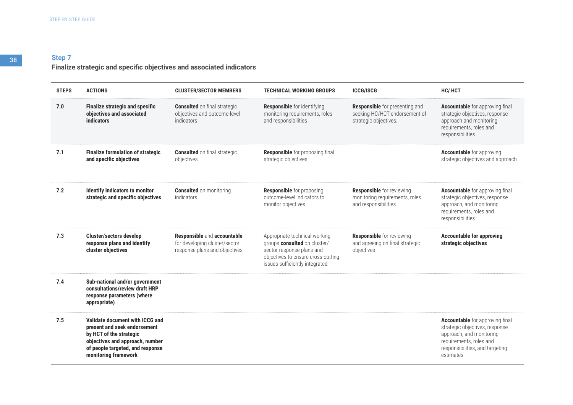# **Finalize strategic and specific objectives and associated indicators**

| <b>STEPS</b> | <b>ACTIONS</b>                                                                                                                                                                            | <b>CLUSTER/SECTOR MEMBERS</b>                                                                 | <b>TECHNICAL WORKING GROUPS</b>                                                                                                                                    | <b>ICCG/ISCG</b>                                                                           | <b>HC/HCT</b>                                                                                                                                                                   |
|--------------|-------------------------------------------------------------------------------------------------------------------------------------------------------------------------------------------|-----------------------------------------------------------------------------------------------|--------------------------------------------------------------------------------------------------------------------------------------------------------------------|--------------------------------------------------------------------------------------------|---------------------------------------------------------------------------------------------------------------------------------------------------------------------------------|
| 7.0          | <b>Finalize strategic and specific</b><br>objectives and associated<br><b>indicators</b>                                                                                                  | <b>Consulted</b> on final strategic<br>objectives and outcome-level<br>indicators             | <b>Responsible</b> for identifying<br>monitoring requirements, roles<br>and responsibilities                                                                       | Responsible for presenting and<br>seeking HC/HCT endorsement of<br>strategic objectives.   | <b>Accountable</b> for approving final<br>strategic objectives, response<br>approach and monitoring<br>requirements, roles and<br>responsibilities                              |
| 7.1          | <b>Finalize formulation of strategic</b><br>and specific objectives                                                                                                                       | <b>Consulted</b> on final strategic<br>objectives                                             | Responsible for proposing final<br>strategic objectives                                                                                                            |                                                                                            | <b>Accountable</b> for approving<br>strategic objectives and approach                                                                                                           |
| 7.2          | <b>Identify indicators to monitor</b><br>strategic and specific objectives                                                                                                                | <b>Consulted</b> on monitoring<br>indicators                                                  | <b>Responsible</b> for proposing<br>outcome-level indicators to<br>monitor objectives                                                                              | <b>Responsible</b> for reviewing<br>monitoring requirements, roles<br>and responsibilities | <b>Accountable</b> for approving final<br>strategic objectives, response<br>approach, and monitoring<br>requirements, roles and<br>responsibilities                             |
| 7.3          | <b>Cluster/sectors develop</b><br>response plans and identify<br>cluster objectives                                                                                                       | Responsible and accountable<br>for developing cluster/sector<br>response plans and objectives | Appropriate technical working<br>groups consulted on cluster/<br>sector response plans and<br>objectives to ensure cross-cutting<br>issues sufficiently integrated | <b>Responsible</b> for reviewing<br>and agreeing on final strategic<br>objectives          | <b>Accountable for approving</b><br>strategic objectives                                                                                                                        |
| 7.4          | Sub-national and/or government<br>consultations/review draft HRP<br>response parameters (where<br>appropriate)                                                                            |                                                                                               |                                                                                                                                                                    |                                                                                            |                                                                                                                                                                                 |
| 7.5          | Validate document with ICCG and<br>present and seek endorsement<br>by HCT of the strategic<br>objectives and approach, number<br>of people targeted, and response<br>monitoring framework |                                                                                               |                                                                                                                                                                    |                                                                                            | <b>Accountable</b> for approving final<br>strategic objectives, response<br>approach, and monitoring<br>requirements, roles and<br>responsibilities, and targeting<br>estimates |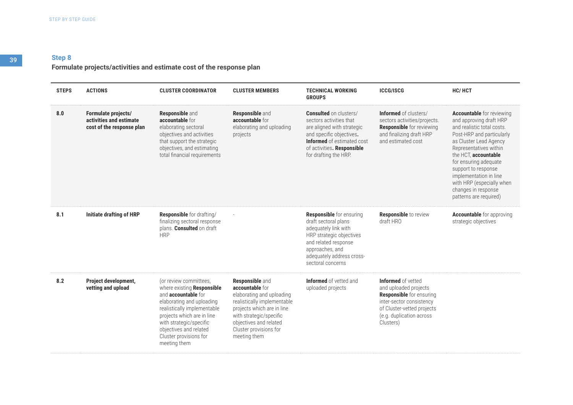# **Formulate projects/activities and estimate cost of the response plan**

| <b>STEPS</b> | <b>ACTIONS</b>                                                              | <b>CLUSTER COORDINATOR</b>                                                                                                                                                                                                                                                  | <b>CLUSTER MEMBERS</b>                                                                                                                                                                                                             | <b>TECHNICAL WORKING</b><br><b>GROUPS</b>                                                                                                                                                                      | <b>ICCG/ISCG</b>                                                                                                                                                                  | HC/HCT                                                                                                                                                                                                                                                                                                                                                     |
|--------------|-----------------------------------------------------------------------------|-----------------------------------------------------------------------------------------------------------------------------------------------------------------------------------------------------------------------------------------------------------------------------|------------------------------------------------------------------------------------------------------------------------------------------------------------------------------------------------------------------------------------|----------------------------------------------------------------------------------------------------------------------------------------------------------------------------------------------------------------|-----------------------------------------------------------------------------------------------------------------------------------------------------------------------------------|------------------------------------------------------------------------------------------------------------------------------------------------------------------------------------------------------------------------------------------------------------------------------------------------------------------------------------------------------------|
| 8.0          | Formulate projects/<br>activities and estimate<br>cost of the response plan | <b>Responsible and</b><br>accountable for<br>elaborating sectoral<br>objectives and activities<br>that support the strategic<br>objectives, and estimating<br>total financial requirements                                                                                  | <b>Responsible and</b><br>accountable for<br>elaborating and uploading<br>projects                                                                                                                                                 | <b>Consulted</b> on clusters/<br>sectors activities that<br>are aligned with strategic<br>and specific objectives.<br><b>Informed</b> of estimated cost<br>of activities. Responsible<br>for drafting the HRP. | <b>Informed</b> of clusters/<br>sectors activities/projects.<br><b>Responsible</b> for reviewing<br>and finalizing draft HRP<br>and estimated cost                                | <b>Accountable</b> for reviewing<br>and approving draft HRP<br>and realistic total costs.<br>Post-HRP and particularly<br>as Cluster Lead Agency<br>Representatives within<br>the HCT, accountable<br>for ensuring adequate<br>support to response<br>implementation in line<br>with HRP (especially when<br>changes in response<br>patterns are required) |
| 8.1          | <b>Initiate drafting of HRP</b>                                             | <b>Responsible</b> for drafting/<br>finalizing sectoral response<br>plans. Consulted on draft<br><b>HRP</b>                                                                                                                                                                 |                                                                                                                                                                                                                                    | <b>Responsible</b> for ensuring<br>draft sectoral plans<br>adequately link with<br>HRP strategic objectives<br>and related response<br>approaches, and<br>adequately address cross-<br>sectoral concerns       | <b>Responsible</b> to review<br>draft HRO                                                                                                                                         | <b>Accountable</b> for approving<br>strategic objectives                                                                                                                                                                                                                                                                                                   |
| 8.2          | Project development,<br>vetting and upload                                  | (or review committees,<br>where existing Responsible<br>and <b>accountable</b> for<br>elaborating and uploading<br>realistically implementable<br>projects which are in line<br>with strategic/specific<br>objectives and related<br>Cluster provisions for<br>meeting them | <b>Responsible and</b><br>accountable for<br>elaborating and uploading<br>realistically implementable<br>projects which are in line<br>with strategic/specific<br>objectives and related<br>Cluster provisions for<br>meeting them | <b>Informed</b> of vetted and<br>uploaded projects                                                                                                                                                             | Informed of vetted<br>and uploaded projects<br><b>Responsible</b> for ensuring<br>inter-sector consistency<br>of Cluster-vetted projects<br>(e.g. duplication across<br>Clusters) |                                                                                                                                                                                                                                                                                                                                                            |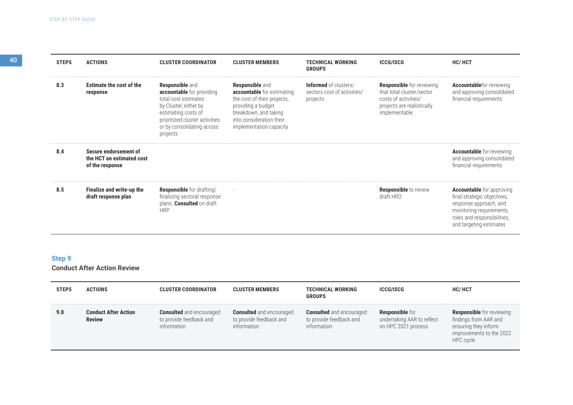| <b>STEPS</b> | <b>ACTIONS</b>                                                        | <b>CLUSTER COORDINATOR</b>                                                                                                                                                                              | <b>CLUSTER MEMBERS</b>                                                                                                                                                                    | <b>TECHNICAL WORKING</b><br><b>GROUPS</b>                               | <b>ICCG/ISCG</b>                                                                                                                     | <b>HC/HCT</b>                                                                                                                                                                   |
|--------------|-----------------------------------------------------------------------|---------------------------------------------------------------------------------------------------------------------------------------------------------------------------------------------------------|-------------------------------------------------------------------------------------------------------------------------------------------------------------------------------------------|-------------------------------------------------------------------------|--------------------------------------------------------------------------------------------------------------------------------------|---------------------------------------------------------------------------------------------------------------------------------------------------------------------------------|
| 8.3          | <b>Estimate the cost of the</b><br>response                           | <b>Responsible and</b><br>accountable for providing<br>total cost estimates<br>by Cluster, either by<br>estimating costs of<br>prioritized cluster activities<br>or by consolidating across<br>projects | <b>Responsible</b> and<br>accountable for estimating<br>the cost of their projects,<br>providing a budget<br>breakdown, and taking<br>into consideration their<br>implementation capacity | <b>Informed</b> of clusters/<br>sectors cost of activities/<br>projects | <b>Responsible</b> for reviewing<br>that total cluster/sector<br>costs of activities/<br>projects are realistically<br>implementable | <b>Accountable</b> for reviewing<br>and approving consolidated<br>financial requirements                                                                                        |
| 8.4          | Secure endorsement of<br>the HCT on estimated cost<br>of the response |                                                                                                                                                                                                         |                                                                                                                                                                                           |                                                                         |                                                                                                                                      | <b>Accountable</b> for reviewing<br>and approving consolidated<br>financial requirements                                                                                        |
| 8.5          | Finalize and write-up the<br>draft response plan                      | <b>Responsible</b> for drafting/<br>finalizing sectoral response<br>plans. <b>Consulted</b> on draft<br><b>HRP</b>                                                                                      |                                                                                                                                                                                           |                                                                         | <b>Responsible</b> to review<br>draff HRO                                                                                            | <b>Accountable</b> for approving<br>final strategic objectives,<br>response approach, and<br>monitoring requirements,<br>roles and responsibilities,<br>and targeting estimates |

**Conduct After Action Review**

| <b>STEPS</b> | <b>ACTIONS</b>                               | <b>CLUSTER COORDINATOR</b>                                                | <b>CLUSTER MEMBERS</b>                                                    | <b>TECHNICAL WORKING</b><br><b>GROUPS</b>                                 | <b>ICCG/ISCG</b>                                                            | <b>HC/HCT</b>                                                                                                              |
|--------------|----------------------------------------------|---------------------------------------------------------------------------|---------------------------------------------------------------------------|---------------------------------------------------------------------------|-----------------------------------------------------------------------------|----------------------------------------------------------------------------------------------------------------------------|
| 9.0          | <b>Conduct After Action</b><br><b>Review</b> | <b>Consulted</b> and encouraged<br>to provide feedback and<br>information | <b>Consulted</b> and encouraged<br>to provide feedback and<br>information | <b>Consulted</b> and encouraged<br>to provide feedback and<br>information | <b>Responsible</b> for<br>undertaking AAR to reflect<br>on HPC 2021 process | <b>Responsible</b> for reviewing<br>findings from AAR and<br>ensuring they inform<br>improvements to the 2022<br>HPC cycle |